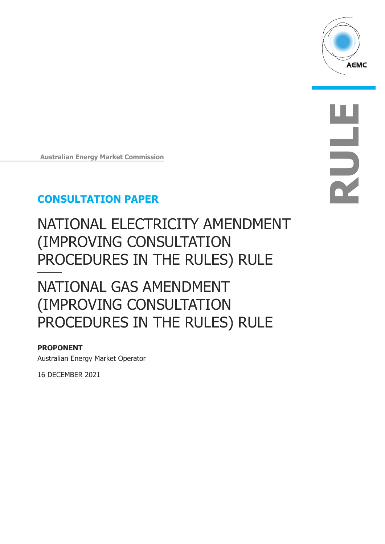

**RULE**

**Australian Energy Market Commission** 

## **CONSULTATION PAPER**

# NATIONAL ELECTRICITY AMENDMENT (IMPROVING CONSULTATION PROCEDURES IN THE RULES) RULE

# NATIONAL GAS AMENDMENT (IMPROVING CONSULTATION PROCEDURES IN THE RULES) RULE

### **PROPONENT**

Australian Energy Market Operator

16 DECEMBER 2021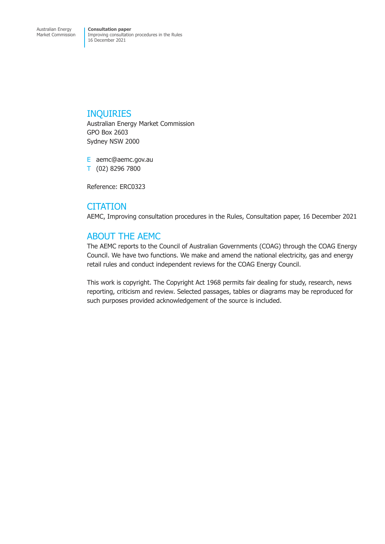### INQUIRIES

Australian Energy Market Commission GPO Box 2603 Sydney NSW 2000

E aemc@aemc.gov.au T (02) 8296 7800

Reference: ERC0323

### **CITATION**

AEMC, Improving consultation procedures in the Rules, Consultation paper, 16 December 2021

## ABOUT THE AEMC

The AEMC reports to the Council of Australian Governments (COAG) through the COAG Energy Council. We have two functions. We make and amend the national electricity, gas and energy retail rules and conduct independent reviews for the COAG Energy Council.

This work is copyright. The Copyright Act 1968 permits fair dealing for study, research, news reporting, criticism and review. Selected passages, tables or diagrams may be reproduced for such purposes provided acknowledgement of the source is included.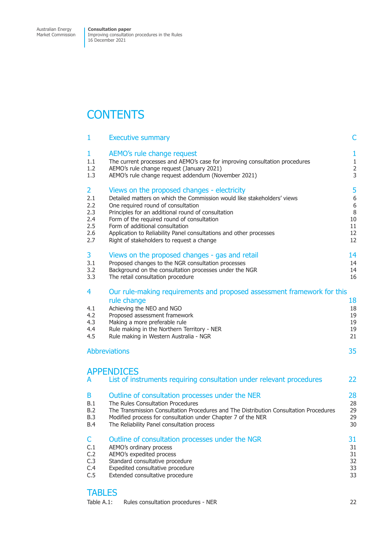Market Commission

Improving consultation procedures in the Rules 16 December 2021

## **CONTENTS**

| $\mathbf{1}$                         | <b>Executive summary</b>                                                                                                                                                                                                                                                       | C                                |
|--------------------------------------|--------------------------------------------------------------------------------------------------------------------------------------------------------------------------------------------------------------------------------------------------------------------------------|----------------------------------|
| 1                                    | AEMO's rule change request                                                                                                                                                                                                                                                     | $\mathbf{1}$                     |
| 1.1                                  | The current processes and AEMO's case for improving consultation procedures                                                                                                                                                                                                    | $\mathbf{1}$                     |
| 1.2                                  | AEMO's rule change request (January 2021)                                                                                                                                                                                                                                      | $\overline{2}$                   |
| 1.3                                  | AEMO's rule change request addendum (November 2021)                                                                                                                                                                                                                            | 3                                |
| 2                                    | Views on the proposed changes - electricity                                                                                                                                                                                                                                    | 5                                |
| 2.1                                  | Detailed matters on which the Commission would like stakeholders' views                                                                                                                                                                                                        | 6                                |
| 2.2                                  | One required round of consultation                                                                                                                                                                                                                                             | 6                                |
| 2.3                                  | Principles for an additional round of consultation                                                                                                                                                                                                                             | $\, 8$                           |
| 2.4                                  | Form of the required round of consultation                                                                                                                                                                                                                                     | 10                               |
| 2.5                                  | Form of additional consultation                                                                                                                                                                                                                                                | 11                               |
| 2.6                                  | Application to Reliability Panel consultations and other processes                                                                                                                                                                                                             | 12                               |
| 2.7                                  | Right of stakeholders to request a change                                                                                                                                                                                                                                      | 12                               |
| 3                                    | Views on the proposed changes - gas and retail                                                                                                                                                                                                                                 | 14                               |
| 3.1                                  | Proposed changes to the NGR consultation processes                                                                                                                                                                                                                             | 14                               |
| 3.2                                  | Background on the consultation processes under the NGR                                                                                                                                                                                                                         | 14                               |
| 3.3                                  | The retail consultation procedure                                                                                                                                                                                                                                              | 16                               |
| 4<br>4.1<br>4.2<br>4.3<br>4.4<br>4.5 | Our rule-making requirements and proposed assessment framework for this<br>rule change<br>Achieving the NEO and NGO<br>Proposed assessment framework<br>Making a more preferable rule<br>Rule making in the Northern Territory - NER<br>Rule making in Western Australia - NGR | 18<br>18<br>19<br>19<br>19<br>21 |
|                                      | <b>Abbreviations</b>                                                                                                                                                                                                                                                           | 35                               |
| A                                    | <b>APPENDICES</b><br>List of instruments requiring consultation under relevant procedures                                                                                                                                                                                      | 22                               |
| B                                    | Outline of consultation processes under the NER                                                                                                                                                                                                                                | 28                               |
| B.1                                  | The Rules Consultation Procedures                                                                                                                                                                                                                                              | 28                               |
| B.2                                  | The Transmission Consultation Procedures and The Distribution Consultation Procedures                                                                                                                                                                                          | 29                               |
| <b>B.3</b>                           | Modified process for consultation under Chapter 7 of the NER                                                                                                                                                                                                                   | 29                               |
| <b>B.4</b>                           | The Reliability Panel consultation process                                                                                                                                                                                                                                     | 30                               |
| C.                                   | Outline of consultation processes under the NGR                                                                                                                                                                                                                                | 31                               |
| C.1                                  | AEMO's ordinary process                                                                                                                                                                                                                                                        | 31                               |
| C.2                                  | AEMO's expedited process                                                                                                                                                                                                                                                       | 31                               |
| C.3                                  | Standard consultative procedure                                                                                                                                                                                                                                                | 32                               |
| C.4                                  | Expedited consultative procedure                                                                                                                                                                                                                                               | 33                               |
| C.5                                  | Extended consultative procedure                                                                                                                                                                                                                                                | 33                               |
|                                      |                                                                                                                                                                                                                                                                                |                                  |

## **TABLES**

[Table A.1: Rules consultation procedures - NER 22](#page-39-0)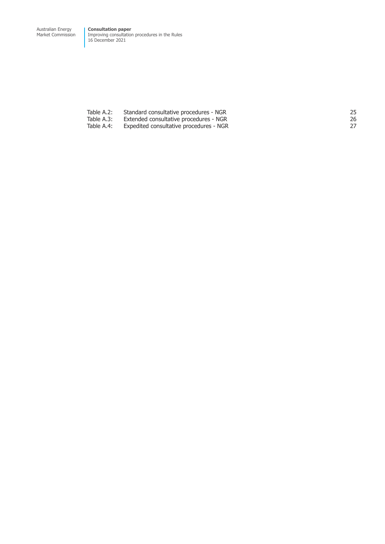Market Commission Improving consultation procedures in the Rules 16 December 2021

| Table A.2: | Standard consultative procedures - NGR  |    |
|------------|-----------------------------------------|----|
| Table A.3: | Extended consultative procedures - NGR  | 26 |
| Table A.4: | Expedited consultative procedures - NGR |    |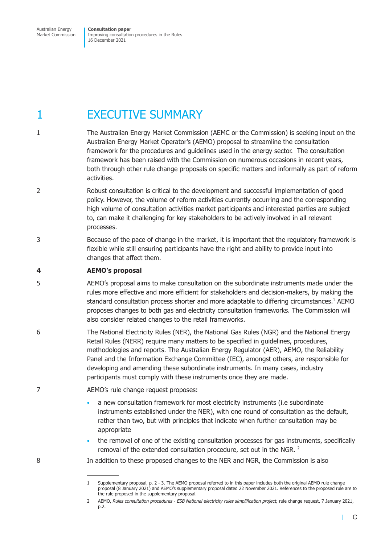<span id="page-4-0"></span>Australian Energy Market Commission **Consultation paper**  Improving consultation procedures in the Rules 16 December 2021

## 1 **EXECUTIVE SUMMARY**

- 1 The Australian Energy Market Commission (AEMC or the Commission) is seeking input on the Australian Energy Market Operator's (AEMO) proposal to streamline the consultation framework for the procedures and guidelines used in the energy sector. The consultation framework has been raised with the Commission on numerous occasions in recent years, both through other rule change proposals on specific matters and informally as part of reform activities.
- 2 Robust consultation is critical to the development and successful implementation of good policy. However, the volume of reform activities currently occurring and the corresponding high volume of consultation activities market participants and interested parties are subject to, can make it challenging for key stakeholders to be actively involved in all relevant processes.
- 3 Because of the pace of change in the market, it is important that the regulatory framework is flexible while still ensuring participants have the right and ability to provide input into changes that affect them.

#### **4 AEMO's proposal**

- 5 AEMO's proposal aims to make consultation on the subordinate instruments made under the rules more effective and more efficient for stakeholders and decision-makers, by making the standard consultation process shorter and more adaptable to differing circumstances.<sup>1</sup> AEMO proposes changes to both gas and electricity consultation frameworks. The Commission will also consider related changes to the retail frameworks.
- 6 The National Electricity Rules (NER), the National Gas Rules (NGR) and the National Energy Retail Rules (NERR) require many matters to be specified in guidelines, procedures, methodologies and reports. The Australian Energy Regulator (AER), AEMO, the Reliability Panel and the Information Exchange Committee (IEC), amongst others, are responsible for developing and amending these subordinate instruments. In many cases, industry participants must comply with these instruments once they are made.
- 7 AEMO's rule change request proposes:
	- a new consultation framework for most electricity instruments (i.e subordinate instruments established under the NER), with one round of consultation as the default, rather than two, but with principles that indicate when further consultation may be appropriate
	- the removal of one of the existing consultation processes for gas instruments, specifically removal of the extended consultation procedure, set out in the NGR.<sup>2</sup>
- 8 In addition to these proposed changes to the NER and NGR, the Commission is also

<sup>1</sup> Supplementary proposal, p. 2 - 3. The AEMO proposal referred to in this paper includes both the original AEMO rule change proposal (8 January 2021) and AEMO's supplementary proposal dated 22 November 2021. References to the proposed rule are to the rule proposed in the supplementary proposal.

<sup>2</sup> AEMO, *Rules consultation procedures - ESB National electricity rules simplification project,* rule change request, 7 January 2021, p.2.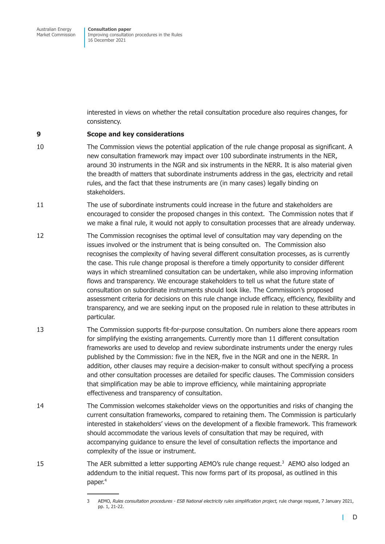interested in views on whether the retail consultation procedure also requires changes, for consistency.

#### **9 Scope and key considerations**

- 10 The Commission views the potential application of the rule change proposal as significant. A new consultation framework may impact over 100 subordinate instruments in the NER, around 30 instruments in the NGR and six instruments in the NERR. It is also material given the breadth of matters that subordinate instruments address in the gas, electricity and retail rules, and the fact that these instruments are (in many cases) legally binding on stakeholders.
- 11 The use of subordinate instruments could increase in the future and stakeholders are encouraged to consider the proposed changes in this context. The Commission notes that if we make a final rule, it would not apply to consultation processes that are already underway.
- 12 The Commission recognises the optimal level of consultation may vary depending on the issues involved or the instrument that is being consulted on. The Commission also recognises the complexity of having several different consultation processes, as is currently the case. This rule change proposal is therefore a timely opportunity to consider different ways in which streamlined consultation can be undertaken, while also improving information flows and transparency. We encourage stakeholders to tell us what the future state of consultation on subordinate instruments should look like. The Commission's proposed assessment criteria for decisions on this rule change include efficacy, efficiency, flexibility and transparency, and we are seeking input on the proposed rule in relation to these attributes in particular.
- 13 The Commission supports fit-for-purpose consultation. On numbers alone there appears room for simplifying the existing arrangements. Currently more than 11 different consultation frameworks are used to develop and review subordinate instruments under the energy rules published by the Commission: five in the NER, five in the NGR and one in the NERR. In addition, other clauses may require a decision-maker to consult without specifying a process and other consultation processes are detailed for specific clauses. The Commission considers that simplification may be able to improve efficiency, while maintaining appropriate effectiveness and transparency of consultation.
- 14 The Commission welcomes stakeholder views on the opportunities and risks of changing the current consultation frameworks, compared to retaining them. The Commission is particularly interested in stakeholders' views on the development of a flexible framework. This framework should accommodate the various levels of consultation that may be required, with accompanying guidance to ensure the level of consultation reflects the importance and complexity of the issue or instrument.
- 15 The AER submitted a letter supporting AEMO's rule change request.<sup>3</sup> AEMO also lodged an addendum to the initial request. This now forms part of its proposal, as outlined in this paper.4

<sup>3</sup> AEMO, *Rules consultation procedures - ESB National electricity rules simplification project,* rule change request, 7 January 2021, pp. 1, 21-22.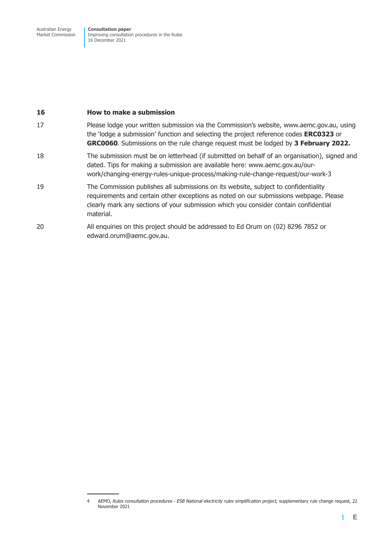#### **16 How to make a submission**

- 17 Please lodge your written submission via the Commission's website, www.aemc.gov.au, using the 'lodge a submission' function and selecting the project reference codes **ERC0323** or **GRC0060**. Submissions on the rule change request must be lodged by **3 February 2022.**
- 18 The submission must be on letterhead (if submitted on behalf of an organisation), signed and dated. Tips for making a submission are available here: www.aemc.gov.au/ourwork/changing-energy-rules-unique-process/making-rule-change-request/our-work-3
- 19 The Commission publishes all submissions on its website, subject to confidentiality requirements and certain other exceptions as noted on our submissions webpage. Please clearly mark any sections of your submission which you consider contain confidential material.
- 20 All enquiries on this project should be addressed to Ed Orum on (02) 8296 7852 or edward.orum@aemc.gov.au.

<sup>4</sup> AEMO, *Rules consultation procedures - ESB National electricity rules simplification project,* supplementary rule change request, 22 November 2021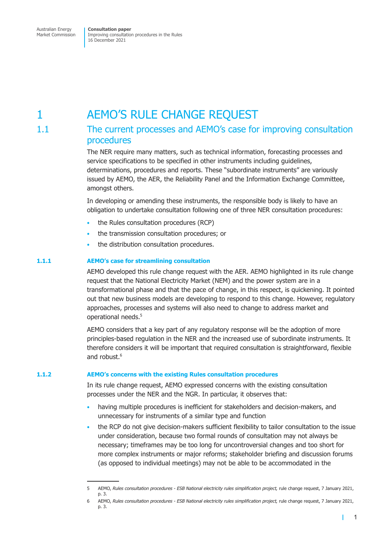## <span id="page-7-0"></span>1 AEMO'S RULE CHANGE REQUEST

## 1.1 The current processes and AEMO's case for improving consultation procedures

The NER require many matters, such as technical information, forecasting processes and service specifications to be specified in other instruments including quidelines, determinations, procedures and reports. These "subordinate instruments" are variously issued by AEMO, the AER, the Reliability Panel and the Information Exchange Committee, amongst others.

In developing or amending these instruments, the responsible body is likely to have an obligation to undertake consultation following one of three NER consultation procedures:

- the Rules consultation procedures (RCP)
- the transmission consultation procedures; or
- the distribution consultation procedures.

#### **1.1.1 AEMO's case for streamlining consultation**

AEMO developed this rule change request with the AER. AEMO highlighted in its rule change request that the National Electricity Market (NEM) and the power system are in a transformational phase and that the pace of change, in this respect, is quickening. It pointed out that new business models are developing to respond to this change. However, regulatory approaches, processes and systems will also need to change to address market and operational needs.<sup>5</sup>

AEMO considers that a key part of any regulatory response will be the adoption of more principles-based regulation in the NER and the increased use of subordinate instruments. It therefore considers it will be important that required consultation is straightforward, flexible and robust.<sup>6</sup>

#### **1.1.2 AEMO's concerns with the existing Rules consultation procedures**

In its rule change request, AEMO expressed concerns with the existing consultation processes under the NER and the NGR. In particular, it observes that:

- having multiple procedures is inefficient for stakeholders and decision-makers, and unnecessary for instruments of a similar type and function
- the RCP do not give decision-makers sufficient flexibility to tailor consultation to the issue under consideration, because two formal rounds of consultation may not always be necessary; timeframes may be too long for uncontroversial changes and too short for more complex instruments or major reforms; stakeholder briefing and discussion forums (as opposed to individual meetings) may not be able to be accommodated in the

т

<sup>5</sup> AEMO, *Rules consultation procedures - ESB National electricity rules simplification project,* rule change request, 7 January 2021, p. 3.

<sup>6</sup> AEMO, *Rules consultation procedures - ESB National electricity rules simplification project,* rule change request, 7 January 2021, p. 3.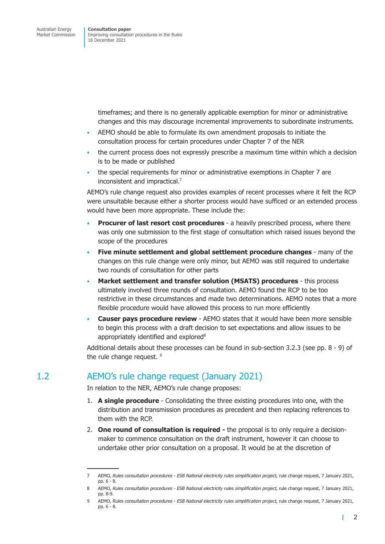<span id="page-8-0"></span>timeframes; and there is no generally applicable exemption for minor or administrative changes and this may discourage incremental improvements to subordinate instruments.

- AEMO should be able to formulate its own amendment proposals to initiate the consultation process for certain procedures under Chapter 7 of the NER
- the current process does not expressly prescribe a maximum time within which a decision is to be made or published
- the special requirements for minor or administrative exemptions in Chapter 7 are inconsistent and impractical.<sup>7</sup>

AEMO's rule change request also provides examples of recent processes where it felt the RCP were unsuitable because either a shorter process would have sufficed or an extended process would have been more appropriate. These include the:

- **Procurer of last resort cost procedures** a heavily prescribed process, where there was only one submission to the first stage of consultation which raised issues beyond the scope of the procedures
- **Five minute settlement and global settlement procedure changes** many of the changes on this rule change were only minor, but AEMO was still required to undertake two rounds of consultation for other parts
- **Market settlement and transfer solution (MSATS) procedures** this process ultimately involved three rounds of consultation. AEMO found the RCP to be too restrictive in these circumstances and made two determinations. AEMO notes that a more flexible procedure would have allowed this process to run more efficiently
- **Causer pays procedure review**  AEMO states that it would have been more sensible to begin this process with a draft decision to set expectations and allow issues to be appropriately identified and explored<sup>8</sup>

Additional details about these processes can be found in sub-section 3.2.3 (see pp. 8 - 9) of the rule change request.<sup>9</sup>

## 1.2 AEMO's rule change request (January 2021)

In relation to the NER, AEMO's rule change proposes:

- 1. **A single procedure**  Consolidating the three existing procedures into one, with the distribution and transmission procedures as precedent and then replacing references to them with the RCP.
- 2. **One round of consultation is required -** the proposal is to only require a decisionmaker to commence consultation on the draft instrument, however it can choose to undertake other prior consultation on a proposal. It would be at the discretion of

г

<sup>7</sup> AEMO, *Rules consultation procedures - ESB National electricity rules simplification project,* rule change request, 7 January 2021, pp. 6 - 8.

<sup>8</sup> AEMO, *Rules consultation procedures - ESB National electricity rules simplification project,* rule change request, 7 January 2021, pp. 8-9.

<sup>9</sup> AEMO, *Rules consultation procedures - ESB National electricity rules simplification project,* rule change request, 7 January 2021, pp. 6 - 8.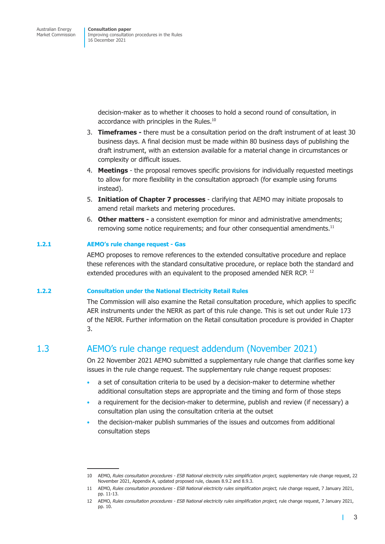> <span id="page-9-0"></span>decision-maker as to whether it chooses to hold a second round of consultation, in accordance with principles in the Rules.<sup>10</sup>

- 3. **Timeframes -** there must be a consultation period on the draft instrument of at least 30 business days. A final decision must be made within 80 business days of publishing the draft instrument, with an extension available for a material change in circumstances or complexity or difficult issues.
- 4. **Meetings**  the proposal removes specific provisions for individually requested meetings to allow for more flexibility in the consultation approach (for example using forums instead).
- 5. **Initiation of Chapter 7 processes**  clarifying that AEMO may initiate proposals to amend retail markets and metering procedures.
- 6. **Other matters** a consistent exemption for minor and administrative amendments; removing some notice requirements; and four other consequential amendments.<sup>11</sup>

#### **1.2.1 AEMO's rule change request - Gas**

AEMO proposes to remove references to the extended consultative procedure and replace these references with the standard consultative procedure, or replace both the standard and extended procedures with an equivalent to the proposed amended NER RCP.<sup>12</sup>

#### **1.2.2 Consultation under the National Electricity Retail Rules**

The Commission will also examine the Retail consultation procedure, which applies to specific AER instruments under the NERR as part of this rule change. This is set out under Rule 173 of the NERR. Further information on the Retail consultation procedure is provided in Chapter 3.

## 1.3 AEMO's rule change request addendum (November 2021)

On 22 November 2021 AEMO submitted a supplementary rule change that clarifies some key issues in the rule change request. The supplementary rule change request proposes:

- a set of consultation criteria to be used by a decision-maker to determine whether additional consultation steps are appropriate and the timing and form of those steps
- a requirement for the decision-maker to determine, publish and review (if necessary) a consultation plan using the consultation criteria at the outset
- the decision-maker publish summaries of the issues and outcomes from additional consultation steps

г

<sup>10</sup> AEMO, *Rules consultation procedures - ESB National electricity rules simplification project,* supplementary rule change request, 22 November 2021, Appendix A, updated proposed rule, clauses 8.9.2 and 8.9.3.

<sup>11</sup> AEMO, *Rules consultation procedures - ESB National electricity rules simplification project,* rule change request, 7 January 2021, pp. 11-13.

<sup>12</sup> AEMO, *Rules consultation procedures - ESB National electricity rules simplification project,* rule change request, 7 January 2021, pp. 10.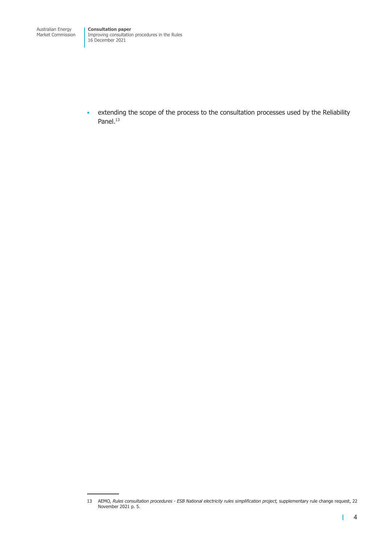• extending the scope of the process to the consultation processes used by the Reliability Panel.<sup>13</sup>

L

<sup>13</sup> AEMO, *Rules consultation procedures - ESB National electricity rules simplification project,* supplementary rule change request, 22 November 2021 p. 5.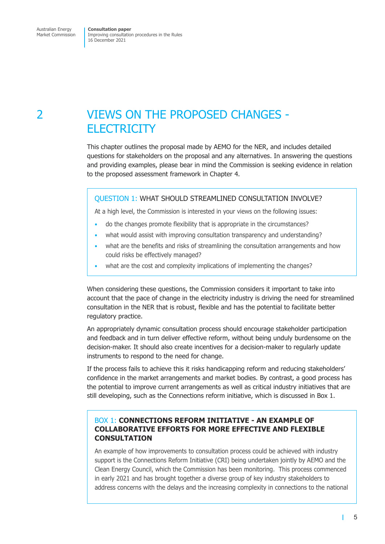## <span id="page-11-0"></span>2 VIEWS ON THE PROPOSED CHANGES - **ELECTRICITY**

This chapter outlines the proposal made by AEMO for the NER, and includes detailed questions for stakeholders on the proposal and any alternatives. In answering the questions and providing examples, please bear in mind the Commission is seeking evidence in relation to the proposed assessment framework in Chapter 4.

#### QUESTION 1: WHAT SHOULD STREAMLINED CONSULTATION INVOLVE?

At a high level, the Commission is interested in your views on the following issues:

- do the changes promote flexibility that is appropriate in the circumstances?
- what would assist with improving consultation transparency and understanding?
- what are the benefits and risks of streamlining the consultation arrangements and how could risks be effectively managed?
- what are the cost and complexity implications of implementing the changes?

When considering these questions, the Commission considers it important to take into account that the pace of change in the electricity industry is driving the need for streamlined consultation in the NER that is robust, flexible and has the potential to facilitate better regulatory practice.

An appropriately dynamic consultation process should encourage stakeholder participation and feedback and in turn deliver effective reform, without being unduly burdensome on the decision-maker. It should also create incentives for a decision-maker to regularly update instruments to respond to the need for change.

If the process fails to achieve this it risks handicapping reform and reducing stakeholders' confidence in the market arrangements and market bodies. By contrast, a good process has the potential to improve current arrangements as well as critical industry initiatives that are still developing, such as the Connections reform initiative, which is discussed in Box 1.

#### BOX 1: **CONNECTIONS REFORM INITIATIVE - AN EXAMPLE OF COLLABORATIVE EFFORTS FOR MORE EFFECTIVE AND FLEXIBLE CONSULTATION**

An example of how improvements to consultation process could be achieved with industry support is the Connections Reform Initiative (CRI) being undertaken jointly by AEMO and the Clean Energy Council, which the Commission has been monitoring. This process commenced in early 2021 and has brought together a diverse group of key industry stakeholders to address concerns with the delays and the increasing complexity in connections to the national

 $\mathbf{L}$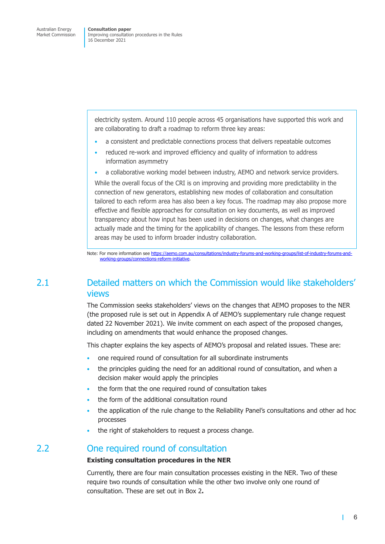<span id="page-12-0"></span>electricity system. Around 110 people across 45 organisations have supported this work and are collaborating to draft a roadmap to reform three key areas:

- a consistent and predictable connections process that delivers repeatable outcomes
- reduced re-work and improved efficiency and quality of information to address information asymmetry
- a collaborative working model between industry, AEMO and network service providers.

While the overall focus of the CRI is on improving and providing more predictability in the connection of new generators, establishing new modes of collaboration and consultation tailored to each reform area has also been a key focus. The roadmap may also propose more effective and flexible approaches for consultation on key documents, as well as improved transparency about how input has been used in decisions on changes, what changes are actually made and the timing for the applicability of changes. The lessons from these reform areas may be used to inform broader industry collaboration.

Note: For more information see https://aemo.com.au/consultations/industry-forums-and-working-groups/list-of-industry-forums-andworking-groups/connections-reform-initiative.

## 2.1 Detailed matter[s on which the Commission would like stakeholders](https://aemo.com.au/consultations/industry-forums-and-working-groups/list-of-industry-forums-and-working-groups/connections-reform-initiative)' vie[ws](https://aemo.com.au/consultations/industry-forums-and-working-groups/list-of-industry-forums-and-working-groups/connections-reform-initiative)

The Commission seeks stakeholders' views on the changes that AEMO proposes to the NER (the proposed rule is set out in Appendix A of AEMO's supplementary rule change request dated 22 November 2021). We invite comment on each aspect of the proposed changes, including on amendments that would enhance the proposed changes.

This chapter explains the key aspects of AEMO's proposal and related issues. These are:

- one required round of consultation for all subordinate instruments
- the principles quiding the need for an additional round of consultation, and when a decision maker would apply the principles
- the form that the one required round of consultation takes
- the form of the additional consultation round
- the application of the rule change to the Reliability Panel's consultations and other ad hoc processes
- the right of stakeholders to request a process change.

### 2.2 One required round of consultation

#### **Existing consultation procedures in the NER**

Currently, there are four main consultation processes existing in the NER. Two of these require two rounds of consultation while the other two involve only one round of consultation. These are set out in Box 2**.** 

П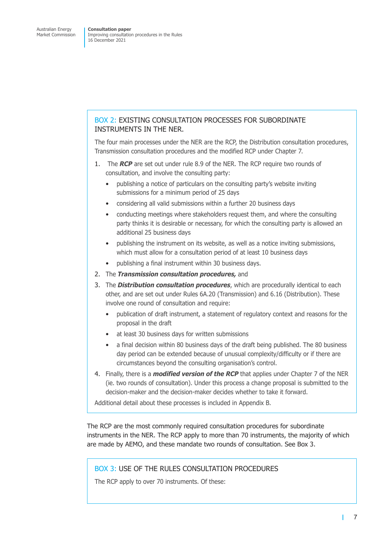#### BOX 2: EXISTING CONSULTATION PROCESSES FOR SUBORDINATE INSTRUMENTS IN THE NER.

The four main processes under the NER are the RCP, the Distribution consultation procedures, Transmission consultation procedures and the modified RCP under Chapter 7.

- 1. The *RCP* are set out under rule 8.9 of the NER. The RCP require two rounds of consultation, and involve the consulting party:
	- publishing a notice of particulars on the consulting party's website inviting submissions for a minimum period of 25 days
	- considering all valid submissions within a further 20 business days
	- conducting meetings where stakeholders request them, and where the consulting party thinks it is desirable or necessary, for which the consulting party is allowed an additional 25 business days
	- publishing the instrument on its website, as well as a notice inviting submissions, which must allow for a consultation period of at least 10 business days
	- publishing a final instrument within 30 business days.
- 2. The *Transmission consultation procedures,* and
- 3. The *Distribution consultation procedures*, which are procedurally identical to each other, and are set out under Rules 6A.20 (Transmission) and 6.16 (Distribution). These involve one round of consultation and require:
	- publication of draft instrument, a statement of regulatory context and reasons for the proposal in the draft
	- at least 30 business days for written submissions
	- a final decision within 80 business days of the draft being published. The 80 business day period can be extended because of unusual complexity/difficulty or if there are circumstances beyond the consulting organisation's control.
- 4. Finally, there is a *modified version of the RCP* that applies under Chapter 7 of the NER (ie. two rounds of consultation). Under this process a change proposal is submitted to the decision-maker and the decision-maker decides whether to take it forward.

Additional detail about these processes is included in Appendix B.

The RCP are the most commonly required consultation procedures for subordinate instruments in the NER. The RCP apply to more than 70 instruments, the majority of which are made by AEMO, and these mandate two rounds of consultation. See Box 3.

#### BOX 3: USE OF THE RULES CONSULTATION PROCEDURES

The RCP apply to over 70 instruments. Of these:

т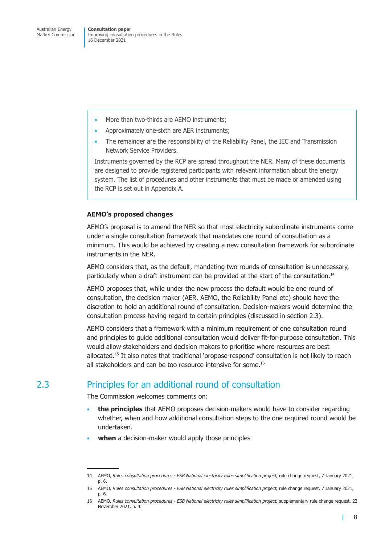- <span id="page-14-0"></span>More than two-thirds are AEMO instruments:
- Approximately one-sixth are AER instruments;
- The remainder are the responsibility of the Reliability Panel, the IEC and Transmission Network Service Providers.

Instruments governed by the RCP are spread throughout the NER. Many of these documents are designed to provide registered participants with relevant information about the energy system. The list of procedures and other instruments that must be made or amended using the RCP is set out in Appendix A.

#### **AEMO's proposed changes**

AEMO's proposal is to amend the NER so that most electricity subordinate instruments come under a single consultation framework that mandates one round of consultation as a minimum. This would be achieved by creating a new consultation framework for subordinate instruments in the NER.

AEMO considers that, as the default, mandating two rounds of consultation is unnecessary, particularly when a draft instrument can be provided at the start of the consultation.<sup>14</sup>

AEMO proposes that, while under the new process the default would be one round of consultation, the decision maker (AER, AEMO, the Reliability Panel etc) should have the discretion to hold an additional round of consultation. Decision-makers would determine the consultation process having regard to certain principles (discussed in section 2.3).

AEMO considers that a framework with a minimum requirement of one consultation round and principles to guide additional consultation would deliver fit-for-purpose consultation. This would allow stakeholders and decision makers to prioritise where res[ources are b](#page-14-1)est allocated.<sup>15</sup> It also notes that traditional 'propose-respond' consultation is not likely to reach all stakeholders and can be too resource intensive for some.<sup>16</sup>

## 2.3 Principles for an additional round of consultation

The Commission welcomes comments on:

- **the principles** that AEMO proposes decision-makers would have to consider regarding whether, when and how additional consultation steps to the one required round would be undertaken.
- **when** a decision-maker would apply those principles

<span id="page-14-1"></span>П

<sup>14</sup> AEMO, *Rules consultation procedures - ESB National electricity rules simplification project,* rule change request, 7 January 2021, p. 6.

<sup>15</sup> AEMO, *Rules consultation procedures - ESB National electricity rules simplification project,* rule change request, 7 January 2021, p. 6.

<sup>16</sup> AEMO, *Rules consultation procedures - ESB National electricity rules simplification project,* supplementary rule change request, 22 November 2021, p. 4.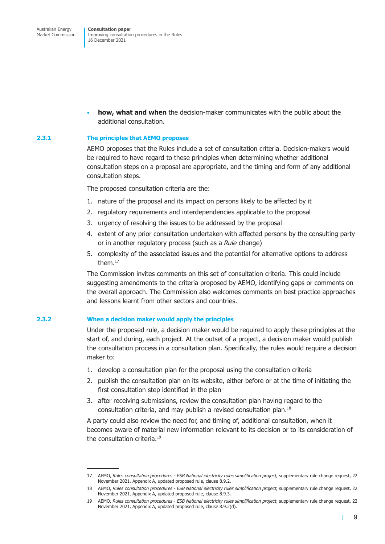• **how, what and when** the decision-maker communicates with the public about the additional consultation.

#### **2.3.1 The principles that AEMO proposes**

AEMO proposes that the Rules include a set of consultation criteria. Decision-makers would be required to have regard to these principles when determining whether additional consultation steps on a proposal are appropriate, and the timing and form of any additional consultation steps.

The proposed consultation criteria are the:

- 1. nature of the proposal and its impact on persons likely to be affected by it
- 2. regulatory requirements and interdependencies applicable to the proposal
- 3. urgency of resolving the issues to be addressed by the proposal
- 4. extent of any prior consultation undertaken with affected persons by the consulting party or in another regulatory process (such as a *Rule* change)
- 5. complexity of the associated issues and the potential for alternative options to address them.17

The Commission invites comments on this set of consultation criteria. This could include suggesting amendments to the criteria proposed by AEMO, identifying gaps or comments on the overall approach. The Commission also welcomes comments on best practice approaches and lessons learnt from other sectors and countries.

#### **2.3.2 When a decision maker would apply the principles**

Under the proposed rule, a decision maker would be required to apply these principles at the start of, and during, each project. At the outset of a project, a decision maker would publish the consultation process in a consultation plan. Specifically, the rules would require a decision maker to:

- 1. develop a consultation plan for the proposal using the consultation criteria
- 2. publish the consultation plan on its website, either before or at the time of initiating the first consultation step identified in the plan
- 3. after receiving submissions, review the consultation plan having regard to the consultation criteria, and may publish a revised consultation plan.18

A party could also review the need for, and timing of, additional consultation, when it becomes aware of material new information relevant to its decision or to its consideration of the consultation criteria.<sup>19</sup>

т

<sup>17</sup> AEMO, *Rules consultation procedures - ESB National electricity rules simplification project,* supplementary rule change request, 22 November 2021, Appendix A, updated proposed rule, clause 8.9.2.

<sup>18</sup> AEMO, *Rules consultation procedures - ESB National electricity rules simplification project,* supplementary rule change request, 22 November 2021, Appendix A, updated proposed rule, clause 8.9.3.

<sup>19</sup> AEMO, *Rules consultation procedures - ESB National electricity rules simplification project*, supplementary rule change request, 22 November 2021, Appendix A, updated proposed rule, clause 8.9.2(d).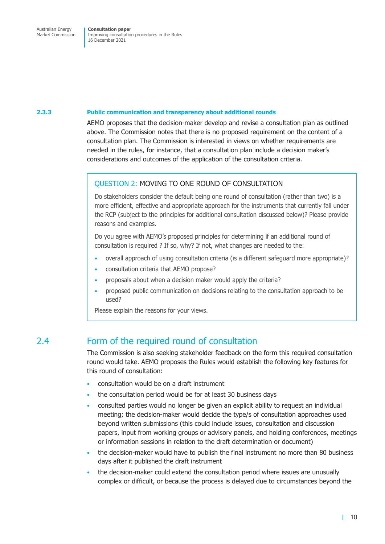#### <span id="page-16-0"></span>**2.3.3 Public communication and transparency about additional rounds**

AEMO proposes that the decision-maker develop and revise a consultation plan as outlined above. The Commission notes that there is no proposed requirement on the content of a consultation plan. The Commission is interested in views on whether requirements are needed in the rules, for instance, that a consultation plan include a decision maker's considerations and outcomes of the application of the consultation criteria.

#### QUESTION 2: MOVING TO ONE ROUND OF CONSULTATION

Do stakeholders consider the default being one round of consultation (rather than two) is a more efficient, effective and appropriate approach for the instruments that currently fall under the RCP (subject to the principles for additional consultation discussed below)? Please provide reasons and examples.

Do you agree with AEMO's proposed principles for determining if an additional round of consultation is required ? If so, why? If not, what changes are needed to the:

- overall approach of using consultation criteria (is a different safeguard more appropriate)?
- consultation criteria that AEMO propose?
- proposals about when a decision maker would apply the criteria?
- proposed public communication on decisions relating to the consultation approach to be used?

Please explain the reasons for your views.

### 2.4 Form of the required round of consultation

The Commission is also seeking stakeholder feedback on the form this required consultation round would take. AEMO proposes the Rules would establish the following key features for this round of consultation:

- consultation would be on a draft instrument
- the consultation period would be for at least 30 business days
- consulted parties would no longer be given an explicit ability to request an individual meeting; the decision-maker would decide the type/s of consultation approaches used beyond written submissions (this could include issues, consultation and discussion papers, input from working groups or advisory panels, and holding conferences, meetings or information sessions in relation to the draft determination or document)
- the decision-maker would have to publish the final instrument no more than 80 business days after it published the draft instrument
- the decision-maker could extend the consultation period where issues are unusually complex or difficult, or because the process is delayed due to circumstances beyond the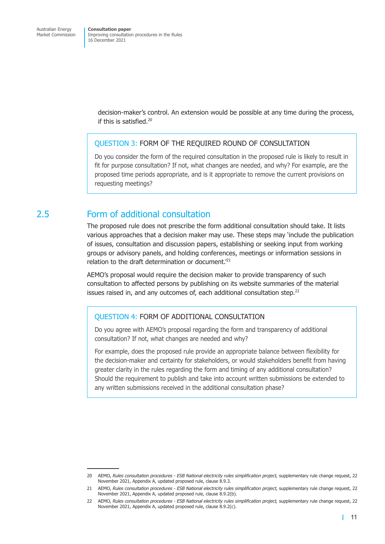<span id="page-17-0"></span>decision-maker's control. An extension would be possible at any time during the process, if this is satisfied.20

#### QUESTION 3: FORM OF THE REQUIRED ROUND OF CONSULTATION

Do you consider the form of the required consultation in the proposed rule is likely to result in fit for purpose consultation? If not, what changes are needed, and why? For example, are the proposed time periods appropriate, and is it appropriate to remove the current provisions on requesting meetings?

## 2.5 Form of additional consultation

The proposed rule does not prescribe the form additional consultation should take. It lists various approaches that a decision maker may use. These steps may 'include the publication of issues, consultation and discussion papers, establishing or seeking input from working groups or advisory panels, and holding conferences, meetings or information sessions in relation to the draft determination or document.'21

AEMO's proposal would require the decision maker to provide transparency of such consultation to affected persons by publishing on its website summaries of the material issues raised in, and any outcomes of, each additional consultation step.<sup>22</sup>

#### QUESTION 4: FORM OF ADDITIONAL CONSULTATION

Do you agree with AEMO's proposal regarding the form and transparency of additional consultation? If not, what changes are needed and why?

For example, does the proposed rule provide an appropriate balance between flexibility for the decision-maker and certainty for stakeholders, or would stakeholders benefit from having greater clarity in the rules regarding the form and timing of any additional consultation? Should the requirement to publish and take into account written submissions be extended to any written submissions received in the additional consultation phase?

<sup>20</sup> AEMO, *Rules consultation procedures - ESB National electricity rules simplification project, supplementary rule change request, 22* November 2021, Appendix A, updated proposed rule, clause 8.9.3.

<sup>21</sup> AEMO, *Rules consultation procedures - ESB National electricity rules simplification project,* supplementary rule change request, 22 November 2021, Appendix A, updated proposed rule, clause 8.9.2(b).

<sup>22</sup> AEMO, *Rules consultation procedures - ESB National electricity rules simplification project,* supplementary rule change request, 22 November 2021, Appendix A, updated proposed rule, clause 8.9.2(c).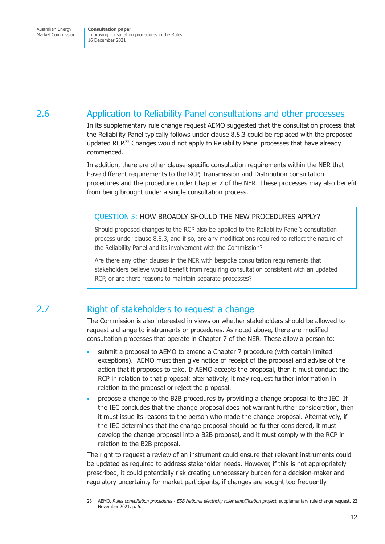## <span id="page-18-0"></span>2.6 Application to Reliability Panel consultations and other processes

In its supplementary rule change request AEMO suggested that the consultation process that the Reliability Panel typically follows under clause 8.8.3 could be replaced with the proposed updated RCP.<sup>23</sup> Changes would not apply to Reliability Panel processes that have already commenced.

In addition, there are other clause-specific consultation requirements within the NER that have different requirements to the RCP, Transmission and Distribution consultation procedures and the procedure under Chapter 7 of the NER. These processes may also benefit from being brought under a single consultation process.

#### QUESTION 5: HOW BROADLY SHOULD THE NEW PROCEDURES APPLY?

Should proposed changes to the RCP also be applied to the Reliability Panel's consultation process under clause 8.8.3, and if so, are any modifications required to reflect the nature of the Reliability Panel and its involvement with the Commission?

Are there any other clauses in the NER with bespoke consultation requirements that stakeholders believe would benefit from requiring consultation consistent with an updated RCP, or are there reasons to maintain separate processes?

## 2.7 Right of stakeholders to request a change

The Commission is also interested in views on whether stakeholders should be allowed to request a change to instruments or procedures. As noted above, there are modified consultation processes that operate in Chapter 7 of the NER. These allow a person to:

- submit a proposal to AEMO to amend a Chapter 7 procedure (with certain limited exceptions). AEMO must then give notice of receipt of the proposal and advise of the action that it proposes to take. If AEMO accepts the proposal, then it must conduct the RCP in relation to that proposal; alternatively, it may request further information in relation to the proposal or reject the proposal.
- propose a change to the B2B procedures by providing a change proposal to the IEC. If the IEC concludes that the change proposal does not warrant further consideration, then it must issue its reasons to the person who made the change proposal. Alternatively, if the IEC determines that the change proposal should be further considered, it must develop the change proposal into a B2B proposal, and it must comply with the RCP in relation to the B2B proposal.

The right to request a review of an instrument could ensure that relevant instruments could be updated as required to address stakeholder needs. However, if this is not appropriately prescribed, it could potentially risk creating unnecessary burden for a decision-maker and regulatory uncertainty for market participants, if changes are sought too frequently.

<sup>23</sup> AEMO, *Rules consultation procedures - ESB National electricity rules simplification project*, supplementary rule change request, 22 November 2021, p. 5.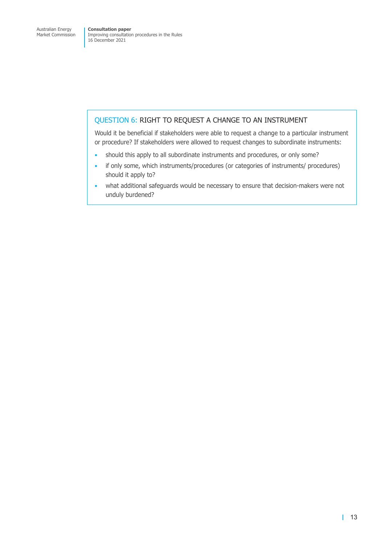#### QUESTION 6: RIGHT TO REQUEST A CHANGE TO AN INSTRUMENT

Would it be beneficial if stakeholders were able to request a change to a particular instrument or procedure? If stakeholders were allowed to request changes to subordinate instruments:

- should this apply to all subordinate instruments and procedures, or only some?
- if only some, which instruments/procedures (or categories of instruments/ procedures) should it apply to?
- what additional safeguards would be necessary to ensure that decision-makers were not unduly burdened?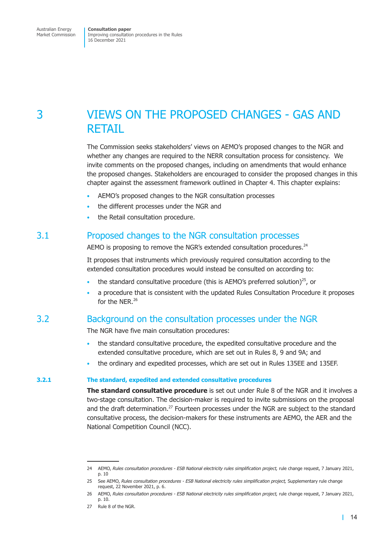## <span id="page-20-0"></span>3 VIEWS ON THE PROPOSED CHANGES - GAS AND RETAIL

The Commission seeks stakeholders' views on AEMO's proposed changes to the NGR and whether any changes are required to the NERR consultation process for consistency. We invite comments on the proposed changes, including on amendments that would enhance the proposed changes. Stakeholders are encouraged to consider the proposed changes in this chapter against the assessment framework outlined in Chapter 4. This chapter explains:

- AEMO's proposed changes to the NGR consultation processes
- the different processes under the NGR and
- the Retail consultation procedure.

## 3.1 Proposed changes to the NGR consultation processes

AEMO is proposing to remove the NGR's extended consultation procedures.<sup>24</sup>

It proposes that instruments which previously required consultation according to the extended consultation procedures would instead be consulted on according to:

- the standard consultative procedure (this is AEMO's preferred solution)<sup>25</sup>, or
- a procedure that is consistent with the updated Rules Consultation Procedure it proposes for the NER.<sup>26</sup>

### 3.2 Background on the consultation processes under the NGR

The NGR have five main consultation procedures:

- the standard consultative procedure, the expedited consultative procedure and the extended consultative procedure, which are set out in Rules 8, 9 and 9A; and
- the ordinary and expedited processes, which are set out in Rules 135EE and 135EF.

#### **3.2.1 The standard, expedited and extended consultative procedures**

**The standard consultative procedure** is set out under Rule 8 of the NGR and it involves a two-stage consultation. The decision-maker is required to invite submissions on the proposal and the draft determination.<sup>27</sup> Fourteen processes under the NGR are subject to the standard consultative process, the decision-makers for these instruments are AEMO, the AER and the National Competition Council (NCC).

<sup>24</sup> AEMO, *Rules consultation procedures - ESB National electricity rules simplification project,* rule change request, 7 January 2021, p. 10

<sup>25</sup> See AEMO, *Rules consultation procedures - ESB National electricity rules simplification project,* Supplementary rule change request, 22 November 2021, p. 6.

<sup>26</sup> AEMO, *Rules consultation procedures - ESB National electricity rules simplification project,* rule change request, 7 January 2021, p. 10.

<sup>27</sup> Rule 8 of the NGR.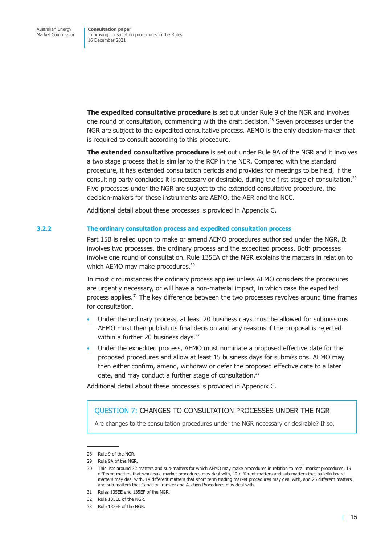**The expedited consultative procedure** is set out under Rule 9 of the NGR and involves one round of consultation, commencing with the draft decision.<sup>28</sup> Seven processes under the NGR are subject to the expedited consultative process. AEMO is the only decision-maker that is required to consult according to this procedure.

**The extended consultative procedure** is set out under Rule 9A of the NGR and it involves a two stage process that is similar to the RCP in the NER. Compared with the standard procedure, it has extended consultation periods and provides for meetings to be held, if the consulting party concludes it is necessary or desirable, during the first stage of consultation.<sup>29</sup> Five processes under the NGR are subject to the extended consultative procedure, the decision-makers for these instruments are AEMO, the AER and the NCC.

Additional detail about these processes is provided in Appendix C.

#### **3.2.2 The ordinary consultation process and expedited consultation process**

Part 15B is relied upon to make or amend AEMO procedures authorised under the NGR. It involves two processes, the ordinary process and the expedited process. Both processes involve one round of consultation. Rule 135EA of the NGR explains the matters in relation to which AEMO may make procedures.<sup>30</sup>

In most circumstances the ordinary process applies unless AEMO considers the procedures are urgently necessary, or will have a non-material impact, in which case the expedited process applies.<sup>31</sup> The key difference between the two processes revolves around time frames for consultation.

- Under the ordinary process, at least 20 business days must be allowed for submissions. AEMO must then publish its final decision and any reasons if the proposal is rejected within a further 20 business days.<sup>32</sup>
- Under the expedited process, AEMO must nominate a proposed effective date for the proposed procedures and allow at least 15 business days for submissions. AEMO may then either confirm, amend, withdraw or defer the proposed effective date to a later date, and may conduct a further stage of consultation.<sup>33</sup>

Additional detail about these processes is provided in Appendix C.

#### QUESTION 7: CHANGES TO CONSULTATION PROCESSES UNDER THE NGR

Are changes to the consultation procedures under the NGR necessary or desirable? If so,

<sup>28</sup> Rule 9 of the NGR.

<sup>29</sup> Rule 9A of the NGR.

<sup>30</sup> This lists around 32 matters and sub-matters for which AEMO may make procedures in relation to retail market procedures, 19 different matters that wholesale market procedures may deal with, 12 different matters and sub-matters that bulletin board matters may deal with, 14 different matters that short term trading market procedures may deal with, and 26 different matters and sub-matters that Capacity Transfer and Auction Procedures may deal with.

<sup>31</sup> Rules 135EE and 135EF of the NGR.

<sup>32</sup> Rule 135EE of the NGR.

<sup>33</sup> Rule 135EF of the NGR.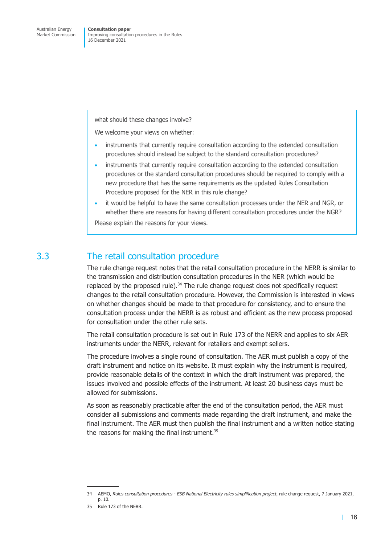<span id="page-22-0"></span>what should these changes involve?

We welcome your views on whether:

- instruments that currently require consultation according to the extended consultation procedures should instead be subject to the standard consultation procedures?
- instruments that currently require consultation according to the extended consultation procedures or the standard consultation procedures should be required to comply with a new procedure that has the same requirements as the updated Rules Consultation Procedure proposed for the NER in this rule change?
- it would be helpful to have the same consultation processes under the NER and NGR, or whether there are reasons for having different consultation procedures under the NGR? Please explain the reasons for your views.

### 3.3 The retail consultation procedure

The rule change request notes that the retail consultation procedure in the NERR is similar to the transmission and distribution consultation procedures in the NER (which would be replaced by the proposed rule). $34$  The rule change request does not specifically request changes to the retail consultation procedure. However, the Commission is interested in views on whether changes should be made to that procedure for consistency, and to ensure the consultation process under the NERR is as robust and efficient as the new process proposed for consultation under the other rule sets.

The retail consultation procedure is set out in Rule 173 of the NERR and applies to six AER instruments under the NERR, relevant for retailers and exempt sellers.

The procedure involves a single round of consultation. The AER must publish a copy of the draft instrument and notice on its website. It must explain why the instrument is required, provide reasonable details of the context in which the draft instrument was prepared, the issues involved and possible effects of the instrument. At least 20 business days must be allowed for submissions.

As soon as reasonably practicable after the end of the consultation period, the AER must consider all submissions and comments made regarding the draft instrument, and make the final instrument. The AER must then publish the final instrument and a written notice stating the reasons for making the final instrument.<sup>35</sup>

<sup>34</sup> AEMO, *Rules consultation procedures - ESB National Electricity rules simplification project*, rule change request, 7 January 2021, p. 10.

<sup>35</sup> Rule 173 of the NERR.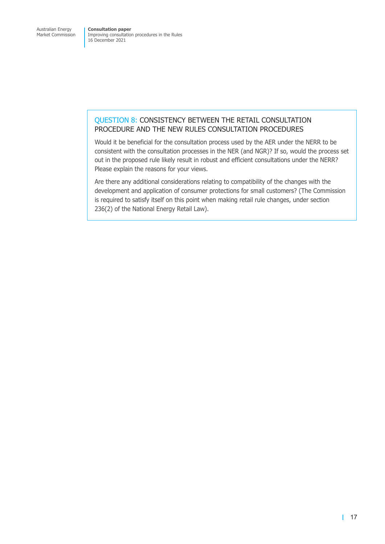#### QUESTION 8: CONSISTENCY BETWEEN THE RETAIL CONSULTATION PROCEDURE AND THE NEW RULES CONSULTATION PROCEDURES

Would it be beneficial for the consultation process used by the AER under the NERR to be consistent with the consultation processes in the NER (and NGR)? If so, would the process set out in the proposed rule likely result in robust and efficient consultations under the NERR? Please explain the reasons for your views.

Are there any additional considerations relating to compatibility of the changes with the development and application of consumer protections for small customers? (The Commission is required to satisfy itself on this point when making retail rule changes, under section 236(2) of the National Energy Retail Law).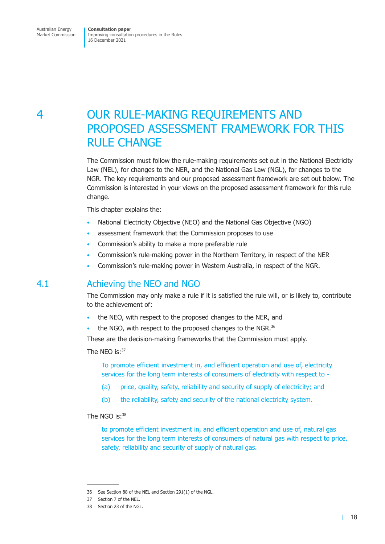## <span id="page-24-0"></span>4 OUR RULE-MAKING REQUIREMENTS AND PROPOSED ASSESSMENT FRAMEWORK FOR THIS RULE CHANGE

The Commission must follow the rule-making requirements set out in the National Electricity Law (NEL), for changes to the NER, and the National Gas Law (NGL), for changes to the NGR. The key requirements and our proposed assessment framework are set out below. The Commission is interested in your views on the proposed assessment framework for this rule change.

This chapter explains the:

- National Electricity Objective (NEO) and the National Gas Objective (NGO)
- assessment framework that the Commission proposes to use
- Commission's ability to make a more preferable rule
- Commission's rule-making power in the Northern Territory, in respect of the NER
- Commission's rule-making power in Western Australia, in respect of the NGR.

### 4.1 Achieving the NEO and NGO

The Commission may only make a rule if it is satisfied the rule will, or is likely to, contribute to the achievement of:

- the NEO, with respect to the proposed changes to the NER, and
- the NGO, with respect to the proposed changes to the NGR.<sup>36</sup>

These are the decision-making frameworks that the Commission must apply.

The NEO is:<sup>37</sup>

To promote efficient investment in, and efficient operation and use of, electricity services for the long term interests of consumers of electricity with respect to -

- (a) price, quality, safety, reliability and security of supply of electricity; and
- (b) the reliability, safety and security of the national electricity system.

#### The NGO  $is:38$

to promote efficient investment in, and efficient operation and use of, natural gas services for the long term interests of consumers of natural gas with respect to price, safety, reliability and security of supply of natural gas.

<sup>36</sup> See Section 88 of the NEL and Section 291(1) of the NGL.

<sup>37</sup> Section 7 of the NEL.

<sup>38</sup> Section 23 of the NGL.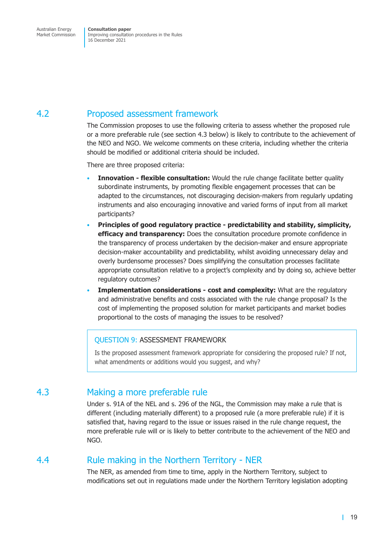<span id="page-25-0"></span>Market Commission

Improving consultation procedures in the Rules 16 December 2021

## 4.2 Proposed assessment framework

The Commission proposes to use the following criteria to assess whether the proposed rule or a more preferable rule (see section 4.3 below) is likely to contribute to the achievement of the NEO and NGO. We welcome comments on these criteria, including whether the criteria should be modified or additional criteria should be included.

There are three proposed crite[ria:](#page-25-1) 

- **Innovation flexible consultation:** Would the rule change facilitate better quality subordinate instruments, by promoting flexible engagement processes that can be adapted to the circumstances, not discouraging decision-makers from regularly updating instruments and also encouraging innovative and varied forms of input from all market participants?
- **Principles of good regulatory practice predictability and stability, simplicity, efficacy and transparency:** Does the consultation procedure promote confidence in the transparency of process undertaken by the decision-maker and ensure appropriate decision-maker accountability and predictability, whilst avoiding unnecessary delay and overly burdensome processes? Does simplifying the consultation processes facilitate appropriate consultation relative to a project's complexity and by doing so, achieve better regulatory outcomes?
- **Implementation considerations - cost and complexity:** What are the regulatory and administrative benefits and costs associated with the rule change proposal? Is the cost of implementing the proposed solution for market participants and market bodies proportional to the costs of managing the issues to be resolved?

#### QUESTION 9: ASSESSMENT FRAMEWORK

<span id="page-25-1"></span>Is the proposed assessment framework appropriate for considering the proposed rule? If not, what amendments or additions would you suggest, and why?

### 4.3 Making a more preferable rule

Under s. 91A of the NEL and s. 296 of the NGL, the Commission may make a rule that is different (including materially different) to a proposed rule (a more preferable rule) if it is satisfied that, having regard to the issue or issues raised in the rule change request, the more preferable rule will or is likely to better contribute to the achievement of the NEO and NGO.

### 4.4 Rule making in the Northern Territory - NER

The NER, as amended from time to time, apply in the Northern Territory, subject to modifications set out in regulations made under the Northern Territory legislation adopting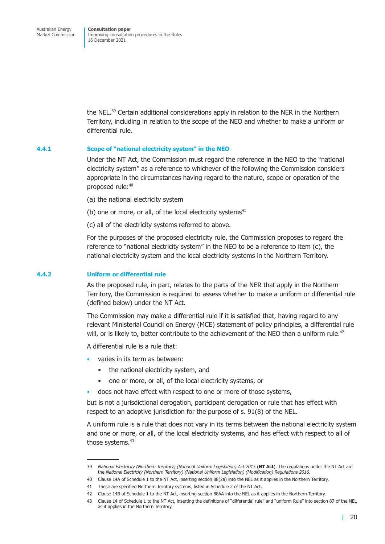the NEL.<sup>39</sup> Certain additional considerations apply in relation to the NER in the Northern Territory, including in relation to the scope of the NEO and whether to make a uniform or differential rule.

#### **4.4.1 Scope of "national electricity system" in the NEO**

Under the NT Act, the Commission must regard the reference in the NEO to the "national electricity system" as a reference to whichever of the following the Commission considers appropriate in the circumstances having regard to the nature, scope or operation of the proposed rule:<sup>40</sup>

- (a) the national electricity system
- (b) one or more, or all, of the local electricity systems $41$
- (c) all of the electricity systems referred to above.

For the purposes of the proposed electricity rule, the Commission proposes to regard the reference to "national electricity system" in the NEO to be a reference to item (c), the national electricity system and the local electricity systems in the Northern Territory.

#### **4.4.2 Uniform or differential rule**

As the proposed rule, in part, relates to the parts of the NER that apply in the Northern Territory, the Commission is required to assess whether to make a uniform or differential rule (defined below) under the NT Act.

The Commission may make a differential rule if it is satisfied that, having regard to any relevant Ministerial Council on Energy (MCE) statement of policy principles, a differential rule will, or is likely to, better contribute to the achievement of the NEO than a uniform rule.<sup>42</sup>

A differential rule is a rule that:

- varies in its term as between:
	- the national electricity system, and
	- one or more, or all, of the local electricity systems, or
- does not have effect with respect to one or more of those systems,

but is not a jurisdictional derogation, participant derogation or rule that has effect with respect to an adoptive jurisdiction for the purpose of s. 91(8) of the NEL.

A uniform rule is a rule that does not vary in its terms between the national electricity system and one or more, or all, of the local electricity systems, and has effect with respect to all of those systems.<sup>43</sup>

<sup>39</sup> *National Electricity (Northern Territory) (National Uniform Legislation) Act 2015* (**NT Act**). The regulations under the NT Act are the *National Electricity (Northern Territory) (National Uniform Legislation) (Modification) Regulations 2016*.

<sup>40</sup> Clause 14A of Schedule 1 to the NT Act, inserting section 88(2a) into the NEL as it applies in the Northern Territory.

<sup>41</sup> These are specified Northern Territory systems, listed in Schedule 2 of the NT Act.

<sup>42</sup> Clause 14B of Schedule 1 to the NT Act, inserting section 88AA into the NEL as it applies in the Northern Territory.

<sup>43</sup> Clause 14 of Schedule 1 to the NT Act, inserting the definitions of "differential rule" and "uniform Rule" into section 87 of the NEL as it applies in the Northern Territory.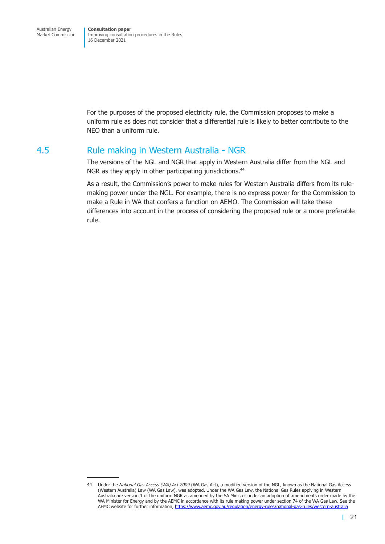<span id="page-27-0"></span>For the purposes of the proposed electricity rule, the Commission proposes to make a uniform rule as does not consider that a differential rule is likely to better contribute to the NEO than a uniform rule.

### 4.5 Rule making in Western Australia - NGR

The versions of the NGL and NGR that apply in Western Australia differ from the NGL and NGR as they apply in other participating jurisdictions.<sup>44</sup>

As a result, the Commission's power to make rules for Western Australia differs from its rulemaking power under the NGL. For example, there is no express power for the Commission to make a Rule in WA that confers a function on AEMO. The Commission will take these differences into account in the process of considering the proposed rule or a more preferable rule.

<sup>44</sup> Under the *National Gas Access (WA) Act 2009* (WA Gas Act), a modified version of the NGL, known as the National Gas Access (Western Australia) Law (WA Gas Law), was adopted. Under the WA Gas Law, the National Gas Rules applying in Western Australia are version 1 of the uniform NGR as amended by the SA Minister under an adoption of amendments order made by the WA Minister for Energy and by the AEMC in accordance with its rule making power under section 74 of the WA Gas Law. See the AEMC website for further information, https://www.aemc.gov.au/regulation/energy-rules/national-gas-rules/western-australia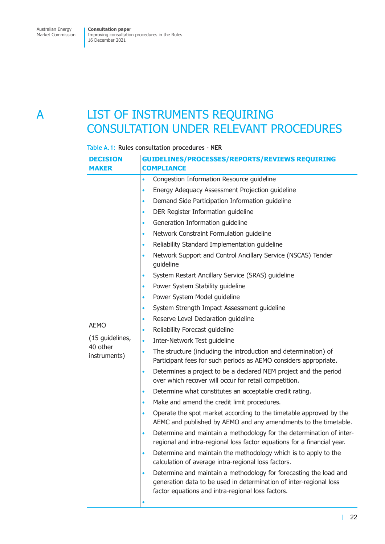## <span id="page-28-0"></span>A LIST OF INSTRUMENTS REQUIRING CONSULTATION UNDER RELEVANT PROCEDURES

#### **Table A.1: Rules consultation procedures - NER**

| <b>DECISION</b>          | <b>GUIDELINES/PROCESSES/REPORTS/REVIEWS REQUIRING</b>                                                                                                                                                     |  |  |
|--------------------------|-----------------------------------------------------------------------------------------------------------------------------------------------------------------------------------------------------------|--|--|
| <b>MAKER</b>             | <b>COMPLIANCE</b>                                                                                                                                                                                         |  |  |
|                          | Congestion Information Resource guideline<br>$\bullet$                                                                                                                                                    |  |  |
|                          | Energy Adequacy Assessment Projection guideline<br>$\bullet$                                                                                                                                              |  |  |
|                          | Demand Side Participation Information guideline<br>$\bullet$                                                                                                                                              |  |  |
|                          | DER Register Information guideline<br>$\bullet$                                                                                                                                                           |  |  |
|                          | Generation Information quideline<br>$\bullet$                                                                                                                                                             |  |  |
|                          | Network Constraint Formulation guideline<br>$\bullet$                                                                                                                                                     |  |  |
|                          | Reliability Standard Implementation guideline<br>$\bullet$                                                                                                                                                |  |  |
|                          | Network Support and Control Ancillary Service (NSCAS) Tender<br>$\bullet$<br>guideline                                                                                                                    |  |  |
|                          | System Restart Ancillary Service (SRAS) guideline<br>$\bullet$                                                                                                                                            |  |  |
|                          | Power System Stability guideline<br>۰                                                                                                                                                                     |  |  |
|                          | Power System Model guideline<br>$\bullet$                                                                                                                                                                 |  |  |
|                          | System Strength Impact Assessment guideline<br>$\bullet$                                                                                                                                                  |  |  |
|                          | Reserve Level Declaration quideline<br>$\bullet$                                                                                                                                                          |  |  |
| <b>AEMO</b>              | Reliability Forecast guideline<br>$\bullet$                                                                                                                                                               |  |  |
| (15 quidelines,          | Inter-Network Test guideline<br>$\bullet$                                                                                                                                                                 |  |  |
| 40 other<br>instruments) | The structure (including the introduction and determination) of<br>$\bullet$<br>Participant fees for such periods as AEMO considers appropriate.                                                          |  |  |
|                          | Determines a project to be a declared NEM project and the period<br>$\bullet$<br>over which recover will occur for retail competition.                                                                    |  |  |
|                          | Determine what constitutes an acceptable credit rating.<br>$\bullet$                                                                                                                                      |  |  |
|                          | Make and amend the credit limit procedures.<br>$\bullet$                                                                                                                                                  |  |  |
|                          | Operate the spot market according to the timetable approved by the<br>$\bullet$<br>AEMC and published by AEMO and any amendments to the timetable.                                                        |  |  |
|                          | Determine and maintain a methodology for the determination of inter-<br>$\bullet$<br>regional and intra-regional loss factor equations for a financial year.                                              |  |  |
|                          | Determine and maintain the methodology which is to apply to the<br>$\bullet$<br>calculation of average intra-regional loss factors.                                                                       |  |  |
|                          | Determine and maintain a methodology for forecasting the load and<br>$\bullet$<br>generation data to be used in determination of inter-regional loss<br>factor equations and intra-regional loss factors. |  |  |
|                          |                                                                                                                                                                                                           |  |  |
|                          |                                                                                                                                                                                                           |  |  |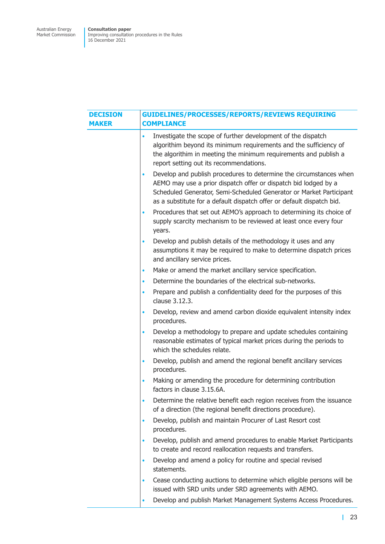| <b>DECISION</b><br><b>MAKER</b> | <b>GUIDELINES/PROCESSES/REPORTS/REVIEWS REQUIRING</b><br><b>COMPLIANCE</b>                                                                                                                                                                                                                         |  |  |
|---------------------------------|----------------------------------------------------------------------------------------------------------------------------------------------------------------------------------------------------------------------------------------------------------------------------------------------------|--|--|
|                                 | Investigate the scope of further development of the dispatch<br>$\bullet$<br>algorithim beyond its minimum requirements and the sufficiency of<br>the algorithim in meeting the minimum requirements and publish a<br>report setting out its recommendations.                                      |  |  |
|                                 | Develop and publish procedures to determine the circumstances when<br>$\bullet$<br>AEMO may use a prior dispatch offer or dispatch bid lodged by a<br>Scheduled Generator, Semi-Scheduled Generator or Market Participant<br>as a substitute for a default dispatch offer or default dispatch bid. |  |  |
|                                 | Procedures that set out AEMO's approach to determining its choice of<br>$\bullet$<br>supply scarcity mechanism to be reviewed at least once every four<br>years.                                                                                                                                   |  |  |
|                                 | Develop and publish details of the methodology it uses and any<br>$\bullet$<br>assumptions it may be required to make to determine dispatch prices<br>and ancillary service prices.                                                                                                                |  |  |
|                                 | Make or amend the market ancillary service specification.<br>$\bullet$                                                                                                                                                                                                                             |  |  |
|                                 | Determine the boundaries of the electrical sub-networks.<br>$\bullet$                                                                                                                                                                                                                              |  |  |
|                                 | Prepare and publish a confidentiality deed for the purposes of this<br>$\bullet$<br>clause 3.12.3.                                                                                                                                                                                                 |  |  |
|                                 | Develop, review and amend carbon dioxide equivalent intensity index<br>$\bullet$<br>procedures.                                                                                                                                                                                                    |  |  |
|                                 | Develop a methodology to prepare and update schedules containing<br>$\bullet$<br>reasonable estimates of typical market prices during the periods to<br>which the schedules relate.                                                                                                                |  |  |
|                                 | Develop, publish and amend the regional benefit ancillary services<br>$\bullet$<br>procedures.                                                                                                                                                                                                     |  |  |
|                                 | Making or amending the procedure for determining contribution<br>$\bullet$<br>factors in clause 3.15.6A.                                                                                                                                                                                           |  |  |
|                                 | Determine the relative benefit each region receives from the issuance<br>$\bullet$<br>of a direction (the regional benefit directions procedure).                                                                                                                                                  |  |  |
|                                 | Develop, publish and maintain Procurer of Last Resort cost<br>$\bullet$<br>procedures.                                                                                                                                                                                                             |  |  |
|                                 | Develop, publish and amend procedures to enable Market Participants<br>$\bullet$<br>to create and record reallocation requests and transfers.                                                                                                                                                      |  |  |
|                                 | Develop and amend a policy for routine and special revised<br>$\bullet$<br>statements.                                                                                                                                                                                                             |  |  |
|                                 | Cease conducting auctions to determine which eligible persons will be<br>$\bullet$<br>issued with SRD units under SRD agreements with AEMO.                                                                                                                                                        |  |  |
|                                 | Develop and publish Market Management Systems Access Procedures.                                                                                                                                                                                                                                   |  |  |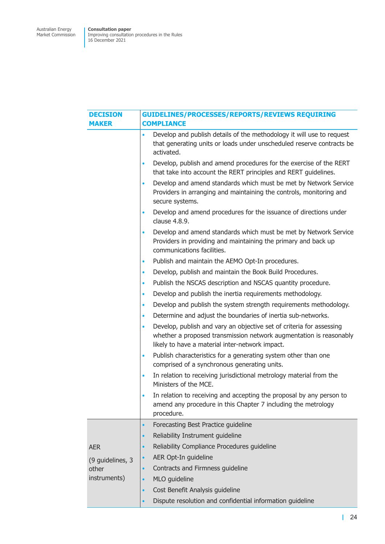| <b>DECISION</b>  | <b>GUIDELINES/PROCESSES/REPORTS/REVIEWS REQUIRING</b>                                                                                                                                                      |  |  |
|------------------|------------------------------------------------------------------------------------------------------------------------------------------------------------------------------------------------------------|--|--|
| <b>MAKER</b>     | <b>COMPLIANCE</b>                                                                                                                                                                                          |  |  |
|                  | Develop and publish details of the methodology it will use to request<br>$\bullet$<br>that generating units or loads under unscheduled reserve contracts be<br>activated.                                  |  |  |
|                  | Develop, publish and amend procedures for the exercise of the RERT<br>$\bullet$<br>that take into account the RERT principles and RERT guidelines.                                                         |  |  |
|                  | Develop and amend standards which must be met by Network Service<br>$\bullet$<br>Providers in arranging and maintaining the controls, monitoring and<br>secure systems.                                    |  |  |
|                  | Develop and amend procedures for the issuance of directions under<br>$\bullet$<br>clause 4.8.9.                                                                                                            |  |  |
|                  | Develop and amend standards which must be met by Network Service<br>$\bullet$<br>Providers in providing and maintaining the primary and back up<br>communications facilities.                              |  |  |
|                  | Publish and maintain the AEMO Opt-In procedures.<br>$\bullet$                                                                                                                                              |  |  |
|                  | Develop, publish and maintain the Book Build Procedures.<br>$\bullet$                                                                                                                                      |  |  |
|                  | Publish the NSCAS description and NSCAS quantity procedure.<br>$\bullet$                                                                                                                                   |  |  |
|                  | Develop and publish the inertia requirements methodology.<br>$\bullet$                                                                                                                                     |  |  |
|                  | Develop and publish the system strength requirements methodology.<br>$\bullet$                                                                                                                             |  |  |
|                  | Determine and adjust the boundaries of inertia sub-networks.<br>$\bullet$                                                                                                                                  |  |  |
|                  | Develop, publish and vary an objective set of criteria for assessing<br>$\bullet$<br>whether a proposed transmission network augmentation is reasonably<br>likely to have a material inter-network impact. |  |  |
|                  | Publish characteristics for a generating system other than one<br>$\bullet$<br>comprised of a synchronous generating units.                                                                                |  |  |
|                  | In relation to receiving jurisdictional metrology material from the<br>$\bullet$<br>Ministers of the MCE.                                                                                                  |  |  |
|                  | In relation to receiving and accepting the proposal by any person to<br>$\bullet$<br>amend any procedure in this Chapter 7 including the metrology<br>procedure.                                           |  |  |
|                  | Forecasting Best Practice guideline<br>$\bullet$                                                                                                                                                           |  |  |
|                  | Reliability Instrument guideline                                                                                                                                                                           |  |  |
| <b>AER</b>       | Reliability Compliance Procedures quideline<br>$\bullet$                                                                                                                                                   |  |  |
| (9 guidelines, 3 | AER Opt-In guideline                                                                                                                                                                                       |  |  |
| other            | Contracts and Firmness guideline<br>$\bullet$                                                                                                                                                              |  |  |
| instruments)     | MLO guideline                                                                                                                                                                                              |  |  |
|                  | Cost Benefit Analysis guideline<br>$\bullet$                                                                                                                                                               |  |  |
|                  | Dispute resolution and confidential information guideline                                                                                                                                                  |  |  |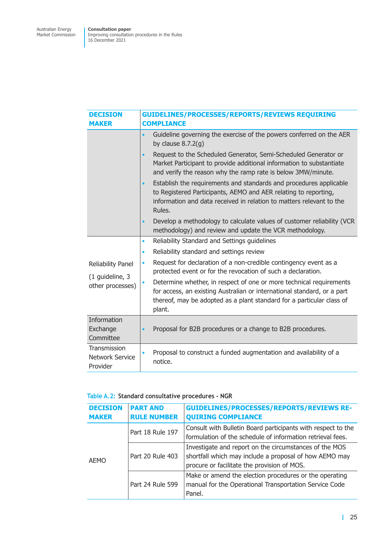| <b>DECISION</b><br><b>MAKER</b>                    | GUIDELINES/PROCESSES/REPORTS/REVIEWS REQUIRING<br><b>COMPLIANCE</b>                                                                                                                                                                  |  |  |
|----------------------------------------------------|--------------------------------------------------------------------------------------------------------------------------------------------------------------------------------------------------------------------------------------|--|--|
|                                                    | Guideline governing the exercise of the powers conferred on the AER<br>by clause $8.7.2(g)$                                                                                                                                          |  |  |
|                                                    | Request to the Scheduled Generator, Semi-Scheduled Generator or<br>$\bullet$<br>Market Participant to provide additional information to substantiate<br>and verify the reason why the ramp rate is below 3MW/minute.                 |  |  |
|                                                    | Establish the requirements and standards and procedures applicable<br>$\bullet$<br>to Registered Participants, AEMO and AER relating to reporting,<br>information and data received in relation to matters relevant to the<br>Rules. |  |  |
|                                                    | Develop a methodology to calculate values of customer reliability (VCR<br>$\bullet$<br>methodology) and review and update the VCR methodology.                                                                                       |  |  |
|                                                    | Reliability Standard and Settings guidelines<br>٠                                                                                                                                                                                    |  |  |
|                                                    | Reliability standard and settings review<br>٠                                                                                                                                                                                        |  |  |
| <b>Reliability Panel</b>                           | Request for declaration of a non-credible contingency event as a<br>$\bullet$<br>protected event or for the revocation of such a declaration.                                                                                        |  |  |
| (1 guideline, 3<br>other processes)                | Determine whether, in respect of one or more technical requirements<br>for access, an existing Australian or international standard, or a part<br>thereof, may be adopted as a plant standard for a particular class of<br>plant.    |  |  |
| Information<br>Exchange<br>Committee               | Proposal for B2B procedures or a change to B2B procedures.<br>$\bullet$                                                                                                                                                              |  |  |
| Transmission<br><b>Network Service</b><br>Provider | Proposal to construct a funded augmentation and availability of a<br>notice.                                                                                                                                                         |  |  |

#### **Table A.2: Standard consultative procedures - NGR**

| <b>DECISION</b><br><b>MAKER</b> | <b>PART AND</b><br><b>RULE NUMBER</b> | <b>GUIDELINES/PROCESSES/REPORTS/REVIEWS RE-</b><br><b>QUIRING COMPLIANCE</b>                                                                                    |
|---------------------------------|---------------------------------------|-----------------------------------------------------------------------------------------------------------------------------------------------------------------|
|                                 | Part 18 Rule 197                      | Consult with Bulletin Board participants with respect to the<br>formulation of the schedule of information retrieval fees.                                      |
| AEMO                            | Part 20 Rule 403                      | Investigate and report on the circumstances of the MOS<br>shortfall which may include a proposal of how AEMO may<br>procure or facilitate the provision of MOS. |
|                                 | Part 24 Rule 599                      | Make or amend the election procedures or the operating<br>manual for the Operational Transportation Service Code<br>Panel.                                      |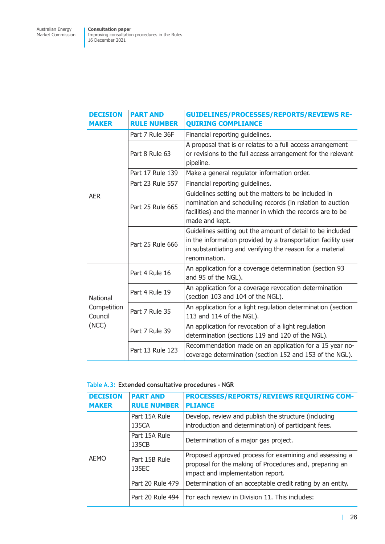| <b>DECISION</b><br><b>MAKER</b> | <b>PART AND</b><br><b>RULE NUMBER</b> | <b>GUIDELINES/PROCESSES/REPORTS/REVIEWS RE-</b><br><b>QUIRING COMPLIANCE</b>                                                                                                                              |
|---------------------------------|---------------------------------------|-----------------------------------------------------------------------------------------------------------------------------------------------------------------------------------------------------------|
|                                 | Part 7 Rule 36F                       | Financial reporting guidelines.                                                                                                                                                                           |
|                                 | Part 8 Rule 63                        | A proposal that is or relates to a full access arrangement<br>or revisions to the full access arrangement for the relevant<br>pipeline.                                                                   |
|                                 | Part 17 Rule 139                      | Make a general regulator information order.                                                                                                                                                               |
|                                 | Part 23 Rule 557                      | Financial reporting guidelines.                                                                                                                                                                           |
| <b>AER</b>                      | Part 25 Rule 665                      | Guidelines setting out the matters to be included in<br>nomination and scheduling records (in relation to auction<br>facilities) and the manner in which the records are to be<br>made and kept.          |
|                                 | Part 25 Rule 666                      | Guidelines setting out the amount of detail to be included<br>in the information provided by a transportation facility user<br>in substantiating and verifying the reason for a material<br>renomination. |
|                                 | Part 4 Rule 16                        | An application for a coverage determination (section 93<br>and 95 of the NGL).                                                                                                                            |
| National                        | Part 4 Rule 19                        | An application for a coverage revocation determination<br>(section 103 and 104 of the NGL).                                                                                                               |
| Competition<br>Council          | Part 7 Rule 35                        | An application for a light regulation determination (section<br>113 and 114 of the NGL).                                                                                                                  |
| (NCC)                           | Part 7 Rule 39                        | An application for revocation of a light regulation<br>determination (sections 119 and 120 of the NGL).                                                                                                   |
|                                 | Part 13 Rule 123                      | Recommendation made on an application for a 15 year no-<br>coverage determination (section 152 and 153 of the NGL).                                                                                       |

|  |  | Table A.3: Extended consultative procedures - NGR |  |  |
|--|--|---------------------------------------------------|--|--|
|--|--|---------------------------------------------------|--|--|

| <b>DECISION</b><br><b>MAKER</b> | <b>PART AND</b><br><b>RULE NUMBER</b> | <b>PROCESSES/REPORTS/REVIEWS REQUIRING COM-</b><br><b>PLIANCE</b>                                                                                       |
|---------------------------------|---------------------------------------|---------------------------------------------------------------------------------------------------------------------------------------------------------|
|                                 | Part 15A Rule<br>135CA                | Develop, review and publish the structure (including<br>introduction and determination) of participant fees.                                            |
|                                 | Part 15A Rule<br>135CB                | Determination of a major gas project.                                                                                                                   |
| AEMO                            | Part 15B Rule<br>135EC                | Proposed approved process for examining and assessing a<br>proposal for the making of Procedures and, preparing an<br>impact and implementation report. |
|                                 | Part 20 Rule 479                      | Determination of an acceptable credit rating by an entity.                                                                                              |
|                                 | Part 20 Rule 494                      | For each review in Division 11. This includes:                                                                                                          |

26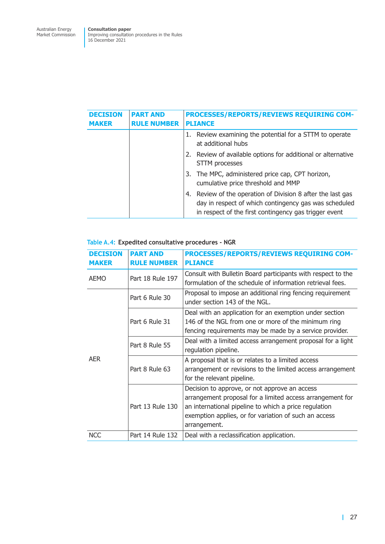| <b>DECISION</b><br><b>MAKER</b> | <b>PART AND</b><br><b>RULE NUMBER</b> | PROCESSES/REPORTS/REVIEWS REQUIRING COM-<br><b>PLIANCE</b>                                                                                                                    |
|---------------------------------|---------------------------------------|-------------------------------------------------------------------------------------------------------------------------------------------------------------------------------|
|                                 |                                       | Review examining the potential for a STTM to operate<br>1.<br>at additional hubs                                                                                              |
|                                 |                                       | 2. Review of available options for additional or alternative<br>STTM processes                                                                                                |
|                                 |                                       | 3. The MPC, administered price cap, CPT horizon,<br>cumulative price threshold and MMP                                                                                        |
|                                 |                                       | 4. Review of the operation of Division 8 after the last gas<br>day in respect of which contingency gas was scheduled<br>in respect of the first contingency gas trigger event |

#### **Table A.4: Expedited consultative procedures - NGR**

| <b>DECISION</b><br><b>MAKER</b> | <b>PART AND</b><br><b>RULE NUMBER</b> | PROCESSES/REPORTS/REVIEWS REQUIRING COM-<br><b>PLIANCE</b>                                                                                                                                                                                   |
|---------------------------------|---------------------------------------|----------------------------------------------------------------------------------------------------------------------------------------------------------------------------------------------------------------------------------------------|
| <b>AEMO</b>                     | Part 18 Rule 197                      | Consult with Bulletin Board participants with respect to the<br>formulation of the schedule of information retrieval fees.                                                                                                                   |
|                                 | Part 6 Rule 30                        | Proposal to impose an additional ring fencing requirement<br>under section 143 of the NGL.                                                                                                                                                   |
|                                 | Part 6 Rule 31                        | Deal with an application for an exemption under section<br>146 of the NGL from one or more of the minimum ring<br>fencing requirements may be made by a service provider.                                                                    |
|                                 | Part 8 Rule 55                        | Deal with a limited access arrangement proposal for a light<br>regulation pipeline.                                                                                                                                                          |
| <b>AER</b>                      | Part 8 Rule 63                        | A proposal that is or relates to a limited access<br>arrangement or revisions to the limited access arrangement<br>for the relevant pipeline.                                                                                                |
|                                 | Part 13 Rule 130                      | Decision to approve, or not approve an access<br>arrangement proposal for a limited access arrangement for<br>an international pipeline to which a price regulation<br>exemption applies, or for variation of such an access<br>arrangement. |
| <b>NCC</b>                      | Part 14 Rule 132                      | Deal with a reclassification application.                                                                                                                                                                                                    |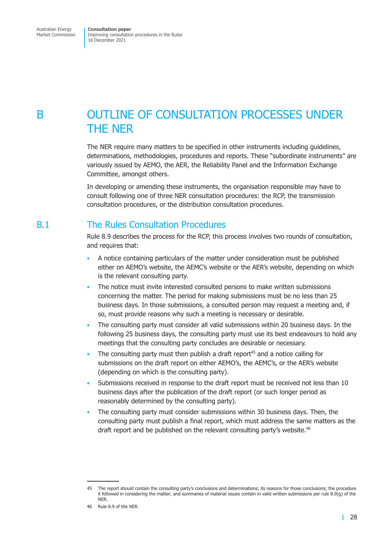## <span id="page-34-0"></span>B OUTLINE OF CONSULTATION PROCESSES UNDER THE NER

The NER require many matters to be specified in other instruments including guidelines, determinations, methodologies, procedures and reports. These "subordinate instruments" are variously issued by AEMO, the AER, the Reliability Panel and the Information Exchange Committee, amongst others.

In developing or amending these instruments, the organisation responsible may have to consult following one of three NER consultation procedures: the RCP, the transmission consultation procedures, or the distribution consultation procedures.

## B.1 The Rules Consultation Procedures

Rule 8.9 describes the process for the RCP, this process involves two rounds of consultation, and requires that:

- A notice containing particulars of the matter under consideration must be published either on AEMO's website, the AEMC's website or the AER's website, depending on which is the relevant consulting party.
- The notice must invite interested consulted persons to make written submissions concerning the matter. The period for making submissions must be no less than 25 business days. In those submissions, a consulted person may request a meeting and, if so, must provide reasons why such a meeting is necessary or desirable.
- The consulting party must consider all valid submissions within 20 business days. In the following 25 business days, the consulting party must use its best endeavours to hold any meetings that the consulting party concludes are desirable or necessary.
- The consulting party must then publish a draft report<sup>45</sup> and a notice calling for submissions on the draft report on either AEMO's, the AEMC's, or the AER's website (depending on which is the consulting party).
- Submissions received in response to the draft report must be received not less than 10 business days after the publication of the draft report (or such longer period as reasonably determined by the consulting party).
- The consulting party must consider submissions within 30 business days. Then, the consulting party must publish a final report, which must address the same matters as the draft report and be published on the relevant consulting party's website.<sup>46</sup>

<sup>45</sup> The report should contain the consulting party's conclusions and determinations; its reasons for those conclusions; the procedure it followed in considering the matter; and summaries of material issues contain in valid written submissions per rule 8.9(g) of the **NFR** 

<sup>46</sup> Rule 8.9 of the NER.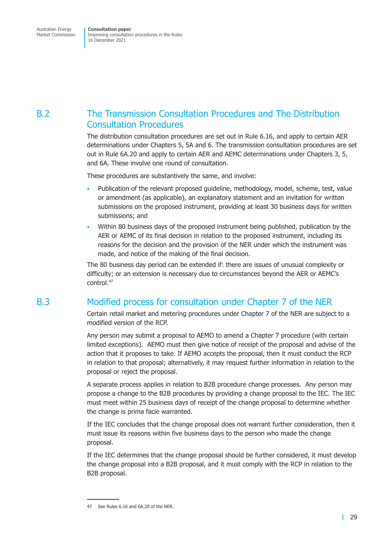## <span id="page-35-0"></span>B.2 The Transmission Consultation Procedures and The Distribution Consultation Procedures

The distribution consultation procedures are set out in Rule 6.16, and apply to certain AER determinations under Chapters 5, 5A and 6. The transmission consultation procedures are set out in Rule 6A.20 and apply to certain AER and AEMC determinations under Chapters 3, 5, and 6A. These involve one round of consultation.

These procedures are substantively the same, and involve:

- Publication of the relevant proposed guideline, methodology, model, scheme, test, value or amendment (as applicable), an explanatory statement and an invitation for written submissions on the proposed instrument, providing at least 30 business days for written submissions; and
- Within 80 business days of the proposed instrument being published, publication by the AER or AEMC of its final decision in relation to the proposed instrument, including its reasons for the decision and the provision of the NER under which the instrument was made, and notice of the making of the final decision.

The 80 business day period can be extended if: there are issues of unusual complexity or difficulty; or an extension is necessary due to circumstances beyond the AER or AEMC's control.47

## B.3 Modified process for consultation under Chapter 7 of the NER

Certain retail market and metering procedures under Chapter 7 of the NER are subject to a modified version of the RCP.

Any person may submit a proposal to AEMO to amend a Chapter 7 procedure (with certain limited exceptions). AEMO must then give notice of receipt of the proposal and advise of the action that it proposes to take. If AEMO accepts the proposal, then it must conduct the RCP in relation to that proposal; alternatively, it may request further information in relation to the proposal or reject the proposal.

A separate process applies in relation to B2B procedure change processes. Any person may propose a change to the B2B procedures by providing a change proposal to the IEC. The IEC must meet within 25 business days of receipt of the change proposal to determine whether the change is prima facie warranted.

If the IEC concludes that the change proposal does not warrant further consideration, then it must issue its reasons within five business days to the person who made the change proposal.

If the IEC determines that the change proposal should be further considered, it must develop the change proposal into a B2B proposal, and it must comply with the RCP in relation to the B2B proposal.

<sup>47</sup> See Rules 6.16 and 6A.20 of the NER.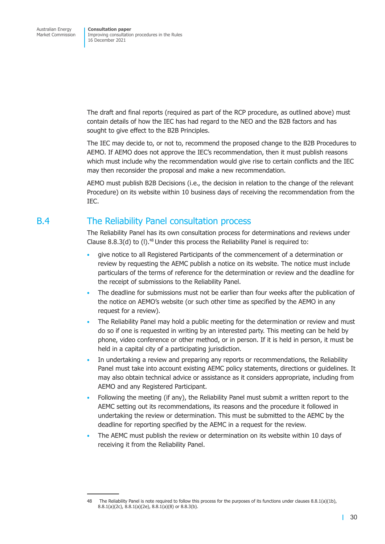<span id="page-36-0"></span>The draft and final reports (required as part of the RCP procedure, as outlined above) must contain details of how the IEC has had regard to the NEO and the B2B factors and has sought to give effect to the B2B Principles.

The IEC may decide to, or not to, recommend the proposed change to the B2B Procedures to AEMO. If AEMO does not approve the IEC's recommendation, then it must publish reasons which must include why the recommendation would give rise to certain conflicts and the IEC may then reconsider the proposal and make a new recommendation.

AEMO must publish B2B Decisions (i.e., the decision in relation to the change of the relevant Procedure) on its website within 10 business days of receiving the recommendation from the IEC.

## B.4 The Reliability Panel consultation process

The Reliability Panel has its own consultation process for determinations and reviews under Clause 8.8.3(d) to (I). $48$  Under this process the Reliability Panel is required to:

- give notice to all Registered Participants of the commencement of a determination or review by requesting the AEMC publish a notice on its website. The notice must include particulars of the terms of reference for the determination or review and the deadline for the receipt of submissions to the Reliability Panel.
- The deadline for submissions must not be earlier than four weeks after the publication of the notice on AEMO's website (or such other time as specified by the AEMO in any request for a review).
- The Reliability Panel may hold a public meeting for the determination or review and must do so if one is requested in writing by an interested party. This meeting can be held by phone, video conference or other method, or in person. If it is held in person, it must be held in a capital city of a participating jurisdiction.
- In undertaking a review and preparing any reports or recommendations, the Reliability Panel must take into account existing AEMC policy statements, directions or guidelines. It may also obtain technical advice or assistance as it considers appropriate, including from AEMO and any Registered Participant.
- Following the meeting (if any), the Reliability Panel must submit a written report to the AEMC setting out its recommendations, its reasons and the procedure it followed in undertaking the review or determination. This must be submitted to the AEMC by the deadline for reporting specified by the AEMC in a request for the review.
- The AEMC must publish the review or determination on its website within 10 days of receiving it from the Reliability Panel.

<sup>48</sup> The Reliability Panel is note required to follow this process for the purposes of its functions under clauses 8.8.1(a)(1b), 8.8.1(a)(2c), 8.8.1(a)(2e), 8.8.1(a)(8) or 8.8.3(b).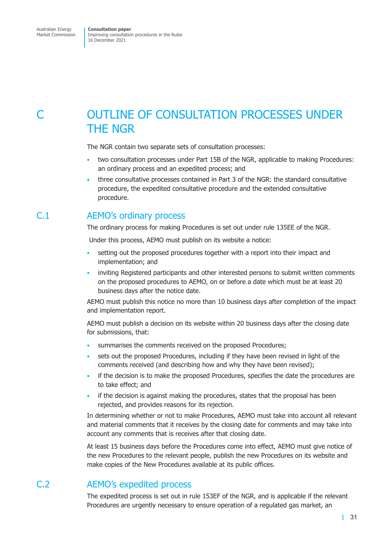## <span id="page-37-0"></span>C OUTLINE OF CONSULTATION PROCESSES UNDER THE NGR

The NGR contain two separate sets of consultation processes:

- two consultation processes under Part 15B of the NGR, applicable to making Procedures: an ordinary process and an expedited process; and
- three consultative processes contained in Part 3 of the NGR: the standard consultative procedure, the expedited consultative procedure and the extended consultative procedure.

## C.1 AEMO's ordinary process

The ordinary process for making Procedures is set out under rule 135EE of the NGR.

Under this process, AEMO must publish on its website a notice:

- setting out the proposed procedures together with a report into their impact and implementation; and
- inviting Registered participants and other interested persons to submit written comments on the proposed procedures to AEMO, on or before a date which must be at least 20 business days after the notice date.

AEMO must publish this notice no more than 10 business days after completion of the impact and implementation report.

AEMO must publish a decision on its website within 20 business days after the closing date for submissions, that:

- summarises the comments received on the proposed Procedures;
- sets out the proposed Procedures, including if they have been revised in light of the comments received (and describing how and why they have been revised);
- if the decision is to make the proposed Procedures, specifies the date the procedures are to take effect; and
- if the decision is against making the procedures, states that the proposal has been rejected, and provides reasons for its rejection.

In determining whether or not to make Procedures, AEMO must take into account all relevant and material comments that it receives by the closing date for comments and may take into account any comments that is receives after that closing date.

At least 15 business days before the Procedures come into effect, AEMO must give notice of the new Procedures to the relevant people, publish the new Procedures on its website and make copies of the New Procedures available at its public offices.

## C.2 AEMO's expedited process

The expedited process is set out in rule 153EF of the NGR, and is applicable if the relevant Procedures are urgently necessary to ensure operation of a regulated gas market, an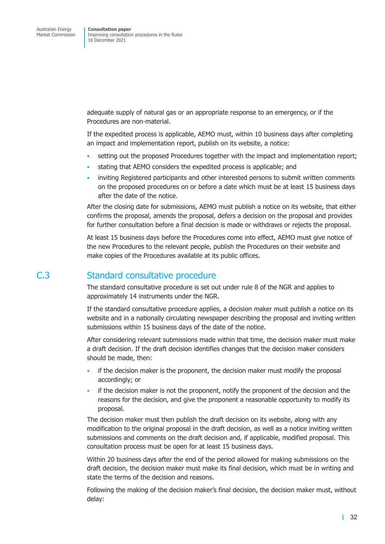<span id="page-38-0"></span>adequate supply of natural gas or an appropriate response to an emergency, or if the Procedures are non-material.

If the expedited process is applicable, AEMO must, within 10 business days after completing an impact and implementation report, publish on its website, a notice:

- setting out the proposed Procedures together with the impact and implementation report;
- stating that AEMO considers the expedited process is applicable; and
- inviting Registered participants and other interested persons to submit written comments on the proposed procedures on or before a date which must be at least 15 business days after the date of the notice.

After the closing date for submissions, AEMO must publish a notice on its website, that either confirms the proposal, amends the proposal, defers a decision on the proposal and provides for further consultation before a final decision is made or withdraws or rejects the proposal.

At least 15 business days before the Procedures come into effect, AEMO must give notice of the new Procedures to the relevant people, publish the Procedures on their website and make copies of the Procedures available at its public offices.

## C.3 Standard consultative procedure

The standard consultative procedure is set out under rule 8 of the NGR and applies to approximately 14 instruments under the NGR.

If the standard consultative procedure applies, a decision maker must publish a notice on its website and in a nationally circulating newspaper describing the proposal and inviting written submissions within 15 business days of the date of the notice.

After considering relevant submissions made within that time, the decision maker must make a draft decision. If the draft decision identifies changes that the decision maker considers should be made, then:

- if the decision maker is the proponent, the decision maker must modify the proposal accordingly; or
- if the decision maker is not the proponent, notify the proponent of the decision and the reasons for the decision, and give the proponent a reasonable opportunity to modify its proposal.

The decision maker must then publish the draft decision on its website, along with any modification to the original proposal in the draft decision, as well as a notice inviting written submissions and comments on the draft decision and, if applicable, modified proposal. This consultation process must be open for at least 15 business days.

Within 20 business days after the end of the period allowed for making submissions on the draft decision, the decision maker must make its final decision, which must be in writing and state the terms of the decision and reasons.

Following the making of the decision maker's final decision, the decision maker must, without delay: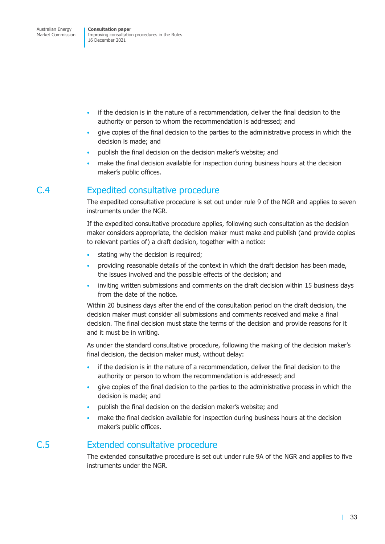- <span id="page-39-0"></span>• if the decision is in the nature of a recommendation, deliver the final decision to the authority or person to whom the recommendation is addressed; and
- give copies of the final decision to the parties to the administrative process in which the decision is made; and
- publish the final decision on the decision maker's website; and
- make the final decision available for inspection during business hours at the decision maker's public offices.

## C.4 Expedited consultative procedure

The expedited consultative procedure is set out under rule 9 of the NGR and applies to seven instruments under the NGR.

If the expedited consultative procedure applies, following such consultation as the decision maker considers appropriate, the decision maker must make and publish (and provide copies to relevant parties of) a draft decision, together with a notice:

- stating why the decision is required;
- providing reasonable details of the context in which the draft decision has been made, the issues involved and the possible effects of the decision; and
- inviting written submissions and comments on the draft decision within 15 business days from the date of the notice.

Within 20 business days after the end of the consultation period on the draft decision, the decision maker must consider all submissions and comments received and make a final decision. The final decision must state the terms of the decision and provide reasons for it and it must be in writing.

As under the standard consultative procedure, following the making of the decision maker's final decision, the decision maker must, without delay:

- if the decision is in the nature of a recommendation, deliver the final decision to the authority or person to whom the recommendation is addressed; and
- give copies of the final decision to the parties to the administrative process in which the decision is made; and
- publish the final decision on the decision maker's website; and
- make the final decision available for inspection during business hours at the decision maker's public offices.

## C.5 Extended consultative procedure

The extended consultative procedure is set out under rule 9A of the NGR and applies to five instruments under the NGR.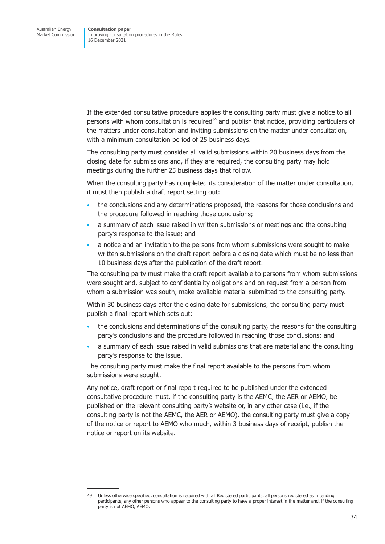If the extended consultative procedure applies the consulting party must give a notice to all persons with whom consultation is required<sup>49</sup> and publish that notice, providing particulars of the matters under consultation and inviting submissions on the matter under consultation, with a minimum consultation period of 25 business days.

The consulting party must consider all valid submissions within 20 business days from the closing date for submissions and, if they are required, the consulting party may hold meetings during the further 25 business days that follow.

When the consulting party has completed its consideration of the matter under consultation, it must then publish a draft report setting out:

- the conclusions and any determinations proposed, the reasons for those conclusions and the procedure followed in reaching those conclusions;
- a summary of each issue raised in written submissions or meetings and the consulting party's response to the issue; and
- a notice and an invitation to the persons from whom submissions were sought to make written submissions on the draft report before a closing date which must be no less than 10 business days after the publication of the draft report.

The consulting party must make the draft report available to persons from whom submissions were sought and, subject to confidentiality obligations and on request from a person from whom a submission was south, make available material submitted to the consulting party.

Within 30 business days after the closing date for submissions, the consulting party must publish a final report which sets out:

- the conclusions and determinations of the consulting party, the reasons for the consulting party's conclusions and the procedure followed in reaching those conclusions; and
- a summary of each issue raised in valid submissions that are material and the consulting party's response to the issue.

The consulting party must make the final report available to the persons from whom submissions were sought.

Any notice, draft report or final report required to be published under the extended consultative procedure must, if the consulting party is the AEMC, the AER or AEMO, be published on the relevant consulting party's website or, in any other case (i.e., if the consulting party is not the AEMC, the AER or AEMO), the consulting party must give a copy of the notice or report to AEMO who much, within 3 business days of receipt, publish the notice or report on its website.

<sup>49</sup> Unless otherwise specified, consultation is required with all Registered participants, all persons registered as Intending participants, any other persons who appear to the consulting party to have a proper interest in the matter and, if the consulting party is not AEMO, AEMO.